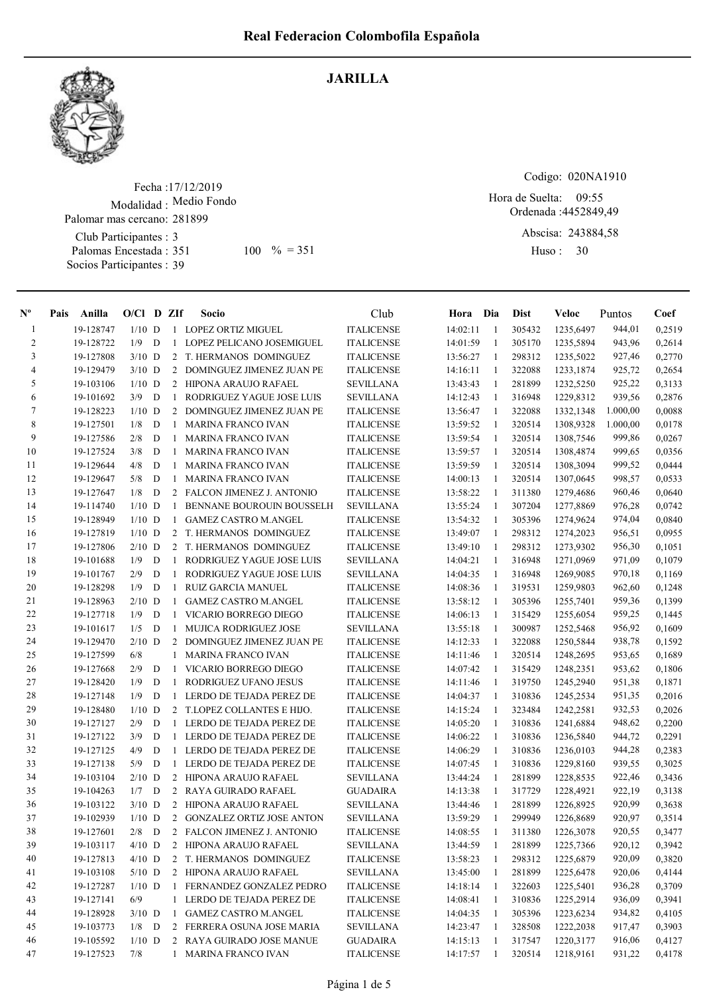

## JARILLA

Fecha : 17/12/2019 Modalidad : Medio Fondo Club Participantes : 3 Palomas Encestada : Socios Participantes : 39 Palomar mas cercano: 281899  $100 \, \frac{9}{6} = 351$  Huso: 30

Codigo: 020NA1910

Ordenada : 4452849,49 Hora de Suelta: 09:55

> Abscisa: 243884,58 Huso: 30

| 19-128747<br>$1/10$ D<br><b>ITALICENSE</b><br>14:02:11<br>1235,6497<br>944,01<br>1 LOPEZ ORTIZ MIGUEL<br>-1<br>305432<br>-1<br>$\overline{c}$<br>943,96<br>19-128722<br>1/9<br>D<br>LOPEZ PELICANO JOSEMIGUEL<br>14:01:59<br>305170<br>1235,5894<br>$\mathbf{1}$<br><b>ITALICENSE</b><br>1<br>3<br>19-127808<br>$3/10$ D<br>2 T. HERMANOS DOMINGUEZ<br>13:56:27<br>298312<br><b>ITALICENSE</b><br>1<br>1235,5022<br>927,46<br>$\overline{4}$<br>19-129479<br>2 DOMINGUEZ JIMENEZ JUAN PE<br>925,72<br>$3/10$ D<br><b>ITALICENSE</b><br>14:16:11<br>-1<br>322088<br>1233,1874<br>5<br>925,22<br>$1/10$ D<br>2 HIPONA ARAUJO RAFAEL<br><b>SEVILLANA</b><br>13:43:43<br>281899<br>1232,5250<br>19-103106<br>-1<br>6<br>19-101692<br>3/9<br>D<br>-1<br>RODRIGUEZ YAGUE JOSE LUIS<br><b>SEVILLANA</b><br>14:12:43<br>1<br>316948<br>1229,8312<br>939,56<br>7<br>$1/10$ D<br>1.000,00<br>19-128223<br>$\overline{2}$<br>DOMINGUEZ JIMENEZ JUAN PE<br><b>ITALICENSE</b><br>13:56:47<br>1<br>322088<br>1332,1348<br>8<br>1/8<br>D<br>13:59:52<br>320514<br>1.000,00<br>19-127501<br><b>MARINA FRANCO IVAN</b><br><b>ITALICENSE</b><br>1308,9328<br>-1<br>1<br>9<br>2/8<br>D<br>19-127586<br><b>MARINA FRANCO IVAN</b><br><b>ITALICENSE</b><br>13:59:54<br>320514<br>1308,7546<br>999,86<br>1<br>1<br>10<br>19-127524<br>3/8<br>D<br><b>ITALICENSE</b><br>13:59:57<br>999,65<br><b>MARINA FRANCO IVAN</b><br>1<br>320514<br>1308,4874<br>1<br>11<br>19-129644<br>4/8<br>D<br><b>MARINA FRANCO IVAN</b><br><b>ITALICENSE</b><br>13:59:59<br>320514<br>999,52<br>1308,3094<br>1<br>-1<br>12<br>19-129647<br>5/8<br>D<br><b>MARINA FRANCO IVAN</b><br><b>ITALICENSE</b><br>14:00:13<br>320514<br>1307,0645<br>998,57<br>1<br>1<br>13<br>19-127647<br>1/8<br>13:58:22<br>D<br>2 FALCON JIMENEZ J. ANTONIO<br><b>ITALICENSE</b><br>1<br>311380<br>1279,4686<br>960,46<br>14<br>$1/10$ D<br>13:55:24<br>307204<br>1277,8869<br>976,28<br>19-114740<br>$\mathbf{1}$<br><b>BENNANE BOUROUIN BOUSSELH</b><br><b>SEVILLANA</b><br>$\mathbf{1}$<br>15<br>19-128949<br>$1/10$ D<br><b>GAMEZ CASTRO M.ANGEL</b><br>13:54:32<br>305396<br>1274,9624<br>974,04<br>$\mathbf{1}$<br><b>ITALICENSE</b><br>$\mathbf{1}$<br>16<br>19-127819<br>13:49:07<br>298312<br>956,51<br>$1/10$ D<br>2<br>T. HERMANOS DOMINGUEZ<br><b>ITALICENSE</b><br>-1<br>1274,2023<br>17<br>19-127806<br>$2/10$ D<br>$\overline{2}$<br>T. HERMANOS DOMINGUEZ<br>13:49:10<br>298312<br>1273,9302<br>956,30<br><b>ITALICENSE</b><br>-1<br>18<br>19-101688<br>1/9<br>D<br>$\mathbf{1}$<br>RODRIGUEZ YAGUE JOSE LUIS<br><b>SEVILLANA</b><br>14:04:21<br>1<br>316948<br>1271,0969<br>971,09<br>19<br>2/9<br>19-101767<br>D<br>1<br>RODRIGUEZ YAGUE JOSE LUIS<br><b>SEVILLANA</b><br>14:04:35<br>-1<br>316948<br>1269,9085<br>970,18<br>20<br>1/9<br>D<br><b>ITALICENSE</b><br>319531<br>962,60<br>19-128298<br><b>RUIZ GARCIA MANUEL</b><br>14:08:36<br>1259,9803<br>-1<br>-1<br>21<br>$2/10$ D<br>19-128963<br><b>GAMEZ CASTRO M.ANGEL</b><br><b>ITALICENSE</b><br>13:58:12<br>305396<br>1255,7401<br>959,36<br>1<br>1<br>22<br>19-127718<br>1/9<br>D<br>VICARIO BORREGO DIEGO<br>14:06:13<br>1255,6054<br>959,25<br>1<br><b>ITALICENSE</b><br>1<br>315429<br>23<br>19-101617<br>1/5<br>D<br>MUJICA RODRIGUEZ JOSE<br><b>SEVILLANA</b><br>13:55:18<br>300987<br>956,92<br>1252,5468<br>-1<br>-1<br>24<br>19-129470<br>$2/10$ D<br>DOMINGUEZ JIMENEZ JUAN PE<br><b>ITALICENSE</b><br>14:12:33<br>322088<br>1250,5844<br>938,78<br>2<br>1<br>25<br>6/8<br>19-127599<br>MARINA FRANCO IVAN<br><b>ITALICENSE</b><br>14:11:46<br>1<br>320514<br>1248,2695<br>953,65<br>1<br>26<br>2/9<br>D<br>14:07:42<br>953,62<br>19-127668<br>VICARIO BORREGO DIEGO<br><b>ITALICENSE</b><br>$\mathbf{1}$<br>315429<br>1248,2351<br>-1<br>27<br>1/9<br>D<br>RODRIGUEZ UFANO JESUS<br>319750<br>951,38<br>19-128420<br>$\mathbf{1}$<br><b>ITALICENSE</b><br>14:11:46<br>1<br>1245,2940<br>28<br>19-127148<br>1/9<br>951,35<br>D<br>-1<br>LERDO DE TEJADA PEREZ DE<br><b>ITALICENSE</b><br>14:04:37<br>-1<br>310836<br>1245,2534<br>29<br>19-128480<br>$1/10$ D<br>2 T.LOPEZ COLLANTES E HIJO.<br>323484<br>932,53<br><b>ITALICENSE</b><br>14:15:24<br>-1<br>1242,2581<br>30<br>19-127127<br>2/9<br>D<br>$\mathbf{1}$<br>LERDO DE TEJADA PEREZ DE<br>14:05:20<br>1<br>310836<br>1241,6884<br>948,62<br><b>ITALICENSE</b><br>3/9<br>D<br>31<br>19-127122<br>1<br>LERDO DE TEJADA PEREZ DE<br><b>ITALICENSE</b><br>14:06:22<br>-1<br>310836<br>1236,5840<br>944,72<br>32<br>4/9<br>D<br>LERDO DE TEJADA PEREZ DE<br>14:06:29<br>944,28<br>19-127125<br>1<br><b>ITALICENSE</b><br>1<br>310836<br>1236,0103<br>33<br>19-127138<br>5/9<br>D<br>LERDO DE TEJADA PEREZ DE<br><b>ITALICENSE</b><br>14:07:45<br>310836<br>1229,8160<br>939,55<br>1<br>1<br>34<br>19-103104<br>$2/10$ D<br>2 HIPONA ARAUJO RAFAEL<br><b>SEVILLANA</b><br>13:44:24<br>281899<br>1228,8535<br>922,46<br>1<br>35<br>19-104263<br>1/7<br>2 RAYA GUIRADO RAFAEL<br>14:13:38<br>317729<br>922,19<br>D<br><b>GUADAIRA</b><br>1228,4921<br>1<br>36<br>19-103122<br>2 HIPONA ARAUJO RAFAEL<br><b>SEVILLANA</b><br>281899<br>920,99<br>$3/10$ D<br>13:44:46<br>1226,8925<br>1<br>37<br>19-102939<br>$1/10$ D<br>2 GONZALEZ ORTIZ JOSE ANTON<br><b>SEVILLANA</b><br>13:59:29<br>1<br>299949<br>1226,8689<br>920,97<br>38<br>2/8<br>2 FALCON JIMENEZ J. ANTONIO<br>920,55<br>19-127601<br>$\Box$<br><b>ITALICENSE</b><br>14:08:55<br>$\mathbf{1}$<br>311380<br>1226,3078<br>39<br>920,12<br>19-103117<br>$4/10$ D<br>2 HIPONA ARAUJO RAFAEL<br><b>SEVILLANA</b><br>13:44:59<br>281899<br>1225,7366<br>1<br>40<br>19-127813<br>$4/10$ D<br>2 T. HERMANOS DOMINGUEZ<br>13:58:23<br>298312<br>1225,6879<br>920,09<br><b>ITALICENSE</b><br>-1<br>41<br>281899<br>920,06<br>19-103108<br>$5/10$ D<br>2 HIPONA ARAUJO RAFAEL<br><b>SEVILLANA</b><br>13:45:00<br>1225,6478<br>-1<br>42<br>322603<br>1225,5401<br>936,28<br>19-127287<br>$1/10$ D<br>1 FERNANDEZ GONZALEZ PEDRO<br><b>ITALICENSE</b><br>14:18:14<br>-1<br>43<br>19-127141<br>6/9<br>1 LERDO DE TEJADA PEREZ DE<br><b>ITALICENSE</b><br>14:08:41<br>$\mathbf{1}$<br>310836<br>1225,2914<br>936,09<br>$3/10$ D<br>44<br>19-128928<br><b>GAMEZ CASTRO M.ANGEL</b><br><b>ITALICENSE</b><br>14:04:35<br>305396<br>1223,6234<br>934,82<br>1<br>-1<br>45<br>19-103773<br>2 FERRERA OSUNA JOSE MARIA<br><b>SEVILLANA</b><br>917,47<br>$1/8$ D<br>14:23:47<br>328508<br>1222,2038<br>1<br>46<br>19-105592<br>$1/10$ D<br>2 RAYA GUIRADO JOSE MANUE<br><b>GUADAIRA</b><br>317547<br>1220,3177<br>916,06<br>14:15:13<br>$\mathbf{1}$ | $N^{\circ}$ | Pais | Anilla    | $O/Cl$ D ZIf |  | Socio                | Club              | Hora Dia |    | Dist   | Veloc     | Puntos | Coef   |
|------------------------------------------------------------------------------------------------------------------------------------------------------------------------------------------------------------------------------------------------------------------------------------------------------------------------------------------------------------------------------------------------------------------------------------------------------------------------------------------------------------------------------------------------------------------------------------------------------------------------------------------------------------------------------------------------------------------------------------------------------------------------------------------------------------------------------------------------------------------------------------------------------------------------------------------------------------------------------------------------------------------------------------------------------------------------------------------------------------------------------------------------------------------------------------------------------------------------------------------------------------------------------------------------------------------------------------------------------------------------------------------------------------------------------------------------------------------------------------------------------------------------------------------------------------------------------------------------------------------------------------------------------------------------------------------------------------------------------------------------------------------------------------------------------------------------------------------------------------------------------------------------------------------------------------------------------------------------------------------------------------------------------------------------------------------------------------------------------------------------------------------------------------------------------------------------------------------------------------------------------------------------------------------------------------------------------------------------------------------------------------------------------------------------------------------------------------------------------------------------------------------------------------------------------------------------------------------------------------------------------------------------------------------------------------------------------------------------------------------------------------------------------------------------------------------------------------------------------------------------------------------------------------------------------------------------------------------------------------------------------------------------------------------------------------------------------------------------------------------------------------------------------------------------------------------------------------------------------------------------------------------------------------------------------------------------------------------------------------------------------------------------------------------------------------------------------------------------------------------------------------------------------------------------------------------------------------------------------------------------------------------------------------------------------------------------------------------------------------------------------------------------------------------------------------------------------------------------------------------------------------------------------------------------------------------------------------------------------------------------------------------------------------------------------------------------------------------------------------------------------------------------------------------------------------------------------------------------------------------------------------------------------------------------------------------------------------------------------------------------------------------------------------------------------------------------------------------------------------------------------------------------------------------------------------------------------------------------------------------------------------------------------------------------------------------------------------------------------------------------------------------------------------------------------------------------------------------------------------------------------------------------------------------------------------------------------------------------------------------------------------------------------------------------------------------------------------------------------------------------------------------------------------------------------------------------------------------------------------------------------------------------------------------------------------------------------------------------------------------------------------------------------------------------------------------------------------------------------------------------------------------------------------------------------------------------------------------------------------------------------------------------------------------------------------------------------------------------------------------------------------------------------------------------------------------------------------------------------------------------------------------------------------------------------------------------------------------------------------------------------------------------------------------------------------------------------------------------------------------------------------------------------------------------------------------------------------------------------------------------------------------------------------------------------------------------------------------------------------------------------------------------------------------------------------------------------------------------------------------------------------------------------------------------------------------|-------------|------|-----------|--------------|--|----------------------|-------------------|----------|----|--------|-----------|--------|--------|
|                                                                                                                                                                                                                                                                                                                                                                                                                                                                                                                                                                                                                                                                                                                                                                                                                                                                                                                                                                                                                                                                                                                                                                                                                                                                                                                                                                                                                                                                                                                                                                                                                                                                                                                                                                                                                                                                                                                                                                                                                                                                                                                                                                                                                                                                                                                                                                                                                                                                                                                                                                                                                                                                                                                                                                                                                                                                                                                                                                                                                                                                                                                                                                                                                                                                                                                                                                                                                                                                                                                                                                                                                                                                                                                                                                                                                                                                                                                                                                                                                                                                                                                                                                                                                                                                                                                                                                                                                                                                                                                                                                                                                                                                                                                                                                                                                                                                                                                                                                                                                                                                                                                                                                                                                                                                                                                                                                                                                                                                                                                                                                                                                                                                                                                                                                                                                                                                                                                                                                                                                                                                                                                                                                                                                                                                                                                                                                                                                                                                                                                                                                  |             |      |           |              |  |                      |                   |          |    |        |           |        | 0,2519 |
|                                                                                                                                                                                                                                                                                                                                                                                                                                                                                                                                                                                                                                                                                                                                                                                                                                                                                                                                                                                                                                                                                                                                                                                                                                                                                                                                                                                                                                                                                                                                                                                                                                                                                                                                                                                                                                                                                                                                                                                                                                                                                                                                                                                                                                                                                                                                                                                                                                                                                                                                                                                                                                                                                                                                                                                                                                                                                                                                                                                                                                                                                                                                                                                                                                                                                                                                                                                                                                                                                                                                                                                                                                                                                                                                                                                                                                                                                                                                                                                                                                                                                                                                                                                                                                                                                                                                                                                                                                                                                                                                                                                                                                                                                                                                                                                                                                                                                                                                                                                                                                                                                                                                                                                                                                                                                                                                                                                                                                                                                                                                                                                                                                                                                                                                                                                                                                                                                                                                                                                                                                                                                                                                                                                                                                                                                                                                                                                                                                                                                                                                                                  |             |      |           |              |  |                      |                   |          |    |        |           |        | 0,2614 |
|                                                                                                                                                                                                                                                                                                                                                                                                                                                                                                                                                                                                                                                                                                                                                                                                                                                                                                                                                                                                                                                                                                                                                                                                                                                                                                                                                                                                                                                                                                                                                                                                                                                                                                                                                                                                                                                                                                                                                                                                                                                                                                                                                                                                                                                                                                                                                                                                                                                                                                                                                                                                                                                                                                                                                                                                                                                                                                                                                                                                                                                                                                                                                                                                                                                                                                                                                                                                                                                                                                                                                                                                                                                                                                                                                                                                                                                                                                                                                                                                                                                                                                                                                                                                                                                                                                                                                                                                                                                                                                                                                                                                                                                                                                                                                                                                                                                                                                                                                                                                                                                                                                                                                                                                                                                                                                                                                                                                                                                                                                                                                                                                                                                                                                                                                                                                                                                                                                                                                                                                                                                                                                                                                                                                                                                                                                                                                                                                                                                                                                                                                                  |             |      |           |              |  |                      |                   |          |    |        |           |        | 0,2770 |
|                                                                                                                                                                                                                                                                                                                                                                                                                                                                                                                                                                                                                                                                                                                                                                                                                                                                                                                                                                                                                                                                                                                                                                                                                                                                                                                                                                                                                                                                                                                                                                                                                                                                                                                                                                                                                                                                                                                                                                                                                                                                                                                                                                                                                                                                                                                                                                                                                                                                                                                                                                                                                                                                                                                                                                                                                                                                                                                                                                                                                                                                                                                                                                                                                                                                                                                                                                                                                                                                                                                                                                                                                                                                                                                                                                                                                                                                                                                                                                                                                                                                                                                                                                                                                                                                                                                                                                                                                                                                                                                                                                                                                                                                                                                                                                                                                                                                                                                                                                                                                                                                                                                                                                                                                                                                                                                                                                                                                                                                                                                                                                                                                                                                                                                                                                                                                                                                                                                                                                                                                                                                                                                                                                                                                                                                                                                                                                                                                                                                                                                                                                  |             |      |           |              |  |                      |                   |          |    |        |           |        | 0,2654 |
|                                                                                                                                                                                                                                                                                                                                                                                                                                                                                                                                                                                                                                                                                                                                                                                                                                                                                                                                                                                                                                                                                                                                                                                                                                                                                                                                                                                                                                                                                                                                                                                                                                                                                                                                                                                                                                                                                                                                                                                                                                                                                                                                                                                                                                                                                                                                                                                                                                                                                                                                                                                                                                                                                                                                                                                                                                                                                                                                                                                                                                                                                                                                                                                                                                                                                                                                                                                                                                                                                                                                                                                                                                                                                                                                                                                                                                                                                                                                                                                                                                                                                                                                                                                                                                                                                                                                                                                                                                                                                                                                                                                                                                                                                                                                                                                                                                                                                                                                                                                                                                                                                                                                                                                                                                                                                                                                                                                                                                                                                                                                                                                                                                                                                                                                                                                                                                                                                                                                                                                                                                                                                                                                                                                                                                                                                                                                                                                                                                                                                                                                                                  |             |      |           |              |  |                      |                   |          |    |        |           |        | 0,3133 |
|                                                                                                                                                                                                                                                                                                                                                                                                                                                                                                                                                                                                                                                                                                                                                                                                                                                                                                                                                                                                                                                                                                                                                                                                                                                                                                                                                                                                                                                                                                                                                                                                                                                                                                                                                                                                                                                                                                                                                                                                                                                                                                                                                                                                                                                                                                                                                                                                                                                                                                                                                                                                                                                                                                                                                                                                                                                                                                                                                                                                                                                                                                                                                                                                                                                                                                                                                                                                                                                                                                                                                                                                                                                                                                                                                                                                                                                                                                                                                                                                                                                                                                                                                                                                                                                                                                                                                                                                                                                                                                                                                                                                                                                                                                                                                                                                                                                                                                                                                                                                                                                                                                                                                                                                                                                                                                                                                                                                                                                                                                                                                                                                                                                                                                                                                                                                                                                                                                                                                                                                                                                                                                                                                                                                                                                                                                                                                                                                                                                                                                                                                                  |             |      |           |              |  |                      |                   |          |    |        |           |        | 0,2876 |
|                                                                                                                                                                                                                                                                                                                                                                                                                                                                                                                                                                                                                                                                                                                                                                                                                                                                                                                                                                                                                                                                                                                                                                                                                                                                                                                                                                                                                                                                                                                                                                                                                                                                                                                                                                                                                                                                                                                                                                                                                                                                                                                                                                                                                                                                                                                                                                                                                                                                                                                                                                                                                                                                                                                                                                                                                                                                                                                                                                                                                                                                                                                                                                                                                                                                                                                                                                                                                                                                                                                                                                                                                                                                                                                                                                                                                                                                                                                                                                                                                                                                                                                                                                                                                                                                                                                                                                                                                                                                                                                                                                                                                                                                                                                                                                                                                                                                                                                                                                                                                                                                                                                                                                                                                                                                                                                                                                                                                                                                                                                                                                                                                                                                                                                                                                                                                                                                                                                                                                                                                                                                                                                                                                                                                                                                                                                                                                                                                                                                                                                                                                  |             |      |           |              |  |                      |                   |          |    |        |           |        | 0,0088 |
|                                                                                                                                                                                                                                                                                                                                                                                                                                                                                                                                                                                                                                                                                                                                                                                                                                                                                                                                                                                                                                                                                                                                                                                                                                                                                                                                                                                                                                                                                                                                                                                                                                                                                                                                                                                                                                                                                                                                                                                                                                                                                                                                                                                                                                                                                                                                                                                                                                                                                                                                                                                                                                                                                                                                                                                                                                                                                                                                                                                                                                                                                                                                                                                                                                                                                                                                                                                                                                                                                                                                                                                                                                                                                                                                                                                                                                                                                                                                                                                                                                                                                                                                                                                                                                                                                                                                                                                                                                                                                                                                                                                                                                                                                                                                                                                                                                                                                                                                                                                                                                                                                                                                                                                                                                                                                                                                                                                                                                                                                                                                                                                                                                                                                                                                                                                                                                                                                                                                                                                                                                                                                                                                                                                                                                                                                                                                                                                                                                                                                                                                                                  |             |      |           |              |  |                      |                   |          |    |        |           |        | 0,0178 |
|                                                                                                                                                                                                                                                                                                                                                                                                                                                                                                                                                                                                                                                                                                                                                                                                                                                                                                                                                                                                                                                                                                                                                                                                                                                                                                                                                                                                                                                                                                                                                                                                                                                                                                                                                                                                                                                                                                                                                                                                                                                                                                                                                                                                                                                                                                                                                                                                                                                                                                                                                                                                                                                                                                                                                                                                                                                                                                                                                                                                                                                                                                                                                                                                                                                                                                                                                                                                                                                                                                                                                                                                                                                                                                                                                                                                                                                                                                                                                                                                                                                                                                                                                                                                                                                                                                                                                                                                                                                                                                                                                                                                                                                                                                                                                                                                                                                                                                                                                                                                                                                                                                                                                                                                                                                                                                                                                                                                                                                                                                                                                                                                                                                                                                                                                                                                                                                                                                                                                                                                                                                                                                                                                                                                                                                                                                                                                                                                                                                                                                                                                                  |             |      |           |              |  |                      |                   |          |    |        |           |        | 0,0267 |
|                                                                                                                                                                                                                                                                                                                                                                                                                                                                                                                                                                                                                                                                                                                                                                                                                                                                                                                                                                                                                                                                                                                                                                                                                                                                                                                                                                                                                                                                                                                                                                                                                                                                                                                                                                                                                                                                                                                                                                                                                                                                                                                                                                                                                                                                                                                                                                                                                                                                                                                                                                                                                                                                                                                                                                                                                                                                                                                                                                                                                                                                                                                                                                                                                                                                                                                                                                                                                                                                                                                                                                                                                                                                                                                                                                                                                                                                                                                                                                                                                                                                                                                                                                                                                                                                                                                                                                                                                                                                                                                                                                                                                                                                                                                                                                                                                                                                                                                                                                                                                                                                                                                                                                                                                                                                                                                                                                                                                                                                                                                                                                                                                                                                                                                                                                                                                                                                                                                                                                                                                                                                                                                                                                                                                                                                                                                                                                                                                                                                                                                                                                  |             |      |           |              |  |                      |                   |          |    |        |           |        | 0,0356 |
|                                                                                                                                                                                                                                                                                                                                                                                                                                                                                                                                                                                                                                                                                                                                                                                                                                                                                                                                                                                                                                                                                                                                                                                                                                                                                                                                                                                                                                                                                                                                                                                                                                                                                                                                                                                                                                                                                                                                                                                                                                                                                                                                                                                                                                                                                                                                                                                                                                                                                                                                                                                                                                                                                                                                                                                                                                                                                                                                                                                                                                                                                                                                                                                                                                                                                                                                                                                                                                                                                                                                                                                                                                                                                                                                                                                                                                                                                                                                                                                                                                                                                                                                                                                                                                                                                                                                                                                                                                                                                                                                                                                                                                                                                                                                                                                                                                                                                                                                                                                                                                                                                                                                                                                                                                                                                                                                                                                                                                                                                                                                                                                                                                                                                                                                                                                                                                                                                                                                                                                                                                                                                                                                                                                                                                                                                                                                                                                                                                                                                                                                                                  |             |      |           |              |  |                      |                   |          |    |        |           |        | 0,0444 |
|                                                                                                                                                                                                                                                                                                                                                                                                                                                                                                                                                                                                                                                                                                                                                                                                                                                                                                                                                                                                                                                                                                                                                                                                                                                                                                                                                                                                                                                                                                                                                                                                                                                                                                                                                                                                                                                                                                                                                                                                                                                                                                                                                                                                                                                                                                                                                                                                                                                                                                                                                                                                                                                                                                                                                                                                                                                                                                                                                                                                                                                                                                                                                                                                                                                                                                                                                                                                                                                                                                                                                                                                                                                                                                                                                                                                                                                                                                                                                                                                                                                                                                                                                                                                                                                                                                                                                                                                                                                                                                                                                                                                                                                                                                                                                                                                                                                                                                                                                                                                                                                                                                                                                                                                                                                                                                                                                                                                                                                                                                                                                                                                                                                                                                                                                                                                                                                                                                                                                                                                                                                                                                                                                                                                                                                                                                                                                                                                                                                                                                                                                                  |             |      |           |              |  |                      |                   |          |    |        |           |        | 0,0533 |
|                                                                                                                                                                                                                                                                                                                                                                                                                                                                                                                                                                                                                                                                                                                                                                                                                                                                                                                                                                                                                                                                                                                                                                                                                                                                                                                                                                                                                                                                                                                                                                                                                                                                                                                                                                                                                                                                                                                                                                                                                                                                                                                                                                                                                                                                                                                                                                                                                                                                                                                                                                                                                                                                                                                                                                                                                                                                                                                                                                                                                                                                                                                                                                                                                                                                                                                                                                                                                                                                                                                                                                                                                                                                                                                                                                                                                                                                                                                                                                                                                                                                                                                                                                                                                                                                                                                                                                                                                                                                                                                                                                                                                                                                                                                                                                                                                                                                                                                                                                                                                                                                                                                                                                                                                                                                                                                                                                                                                                                                                                                                                                                                                                                                                                                                                                                                                                                                                                                                                                                                                                                                                                                                                                                                                                                                                                                                                                                                                                                                                                                                                                  |             |      |           |              |  |                      |                   |          |    |        |           |        | 0,0640 |
|                                                                                                                                                                                                                                                                                                                                                                                                                                                                                                                                                                                                                                                                                                                                                                                                                                                                                                                                                                                                                                                                                                                                                                                                                                                                                                                                                                                                                                                                                                                                                                                                                                                                                                                                                                                                                                                                                                                                                                                                                                                                                                                                                                                                                                                                                                                                                                                                                                                                                                                                                                                                                                                                                                                                                                                                                                                                                                                                                                                                                                                                                                                                                                                                                                                                                                                                                                                                                                                                                                                                                                                                                                                                                                                                                                                                                                                                                                                                                                                                                                                                                                                                                                                                                                                                                                                                                                                                                                                                                                                                                                                                                                                                                                                                                                                                                                                                                                                                                                                                                                                                                                                                                                                                                                                                                                                                                                                                                                                                                                                                                                                                                                                                                                                                                                                                                                                                                                                                                                                                                                                                                                                                                                                                                                                                                                                                                                                                                                                                                                                                                                  |             |      |           |              |  |                      |                   |          |    |        |           |        | 0,0742 |
|                                                                                                                                                                                                                                                                                                                                                                                                                                                                                                                                                                                                                                                                                                                                                                                                                                                                                                                                                                                                                                                                                                                                                                                                                                                                                                                                                                                                                                                                                                                                                                                                                                                                                                                                                                                                                                                                                                                                                                                                                                                                                                                                                                                                                                                                                                                                                                                                                                                                                                                                                                                                                                                                                                                                                                                                                                                                                                                                                                                                                                                                                                                                                                                                                                                                                                                                                                                                                                                                                                                                                                                                                                                                                                                                                                                                                                                                                                                                                                                                                                                                                                                                                                                                                                                                                                                                                                                                                                                                                                                                                                                                                                                                                                                                                                                                                                                                                                                                                                                                                                                                                                                                                                                                                                                                                                                                                                                                                                                                                                                                                                                                                                                                                                                                                                                                                                                                                                                                                                                                                                                                                                                                                                                                                                                                                                                                                                                                                                                                                                                                                                  |             |      |           |              |  |                      |                   |          |    |        |           |        | 0,0840 |
|                                                                                                                                                                                                                                                                                                                                                                                                                                                                                                                                                                                                                                                                                                                                                                                                                                                                                                                                                                                                                                                                                                                                                                                                                                                                                                                                                                                                                                                                                                                                                                                                                                                                                                                                                                                                                                                                                                                                                                                                                                                                                                                                                                                                                                                                                                                                                                                                                                                                                                                                                                                                                                                                                                                                                                                                                                                                                                                                                                                                                                                                                                                                                                                                                                                                                                                                                                                                                                                                                                                                                                                                                                                                                                                                                                                                                                                                                                                                                                                                                                                                                                                                                                                                                                                                                                                                                                                                                                                                                                                                                                                                                                                                                                                                                                                                                                                                                                                                                                                                                                                                                                                                                                                                                                                                                                                                                                                                                                                                                                                                                                                                                                                                                                                                                                                                                                                                                                                                                                                                                                                                                                                                                                                                                                                                                                                                                                                                                                                                                                                                                                  |             |      |           |              |  |                      |                   |          |    |        |           |        | 0,0955 |
|                                                                                                                                                                                                                                                                                                                                                                                                                                                                                                                                                                                                                                                                                                                                                                                                                                                                                                                                                                                                                                                                                                                                                                                                                                                                                                                                                                                                                                                                                                                                                                                                                                                                                                                                                                                                                                                                                                                                                                                                                                                                                                                                                                                                                                                                                                                                                                                                                                                                                                                                                                                                                                                                                                                                                                                                                                                                                                                                                                                                                                                                                                                                                                                                                                                                                                                                                                                                                                                                                                                                                                                                                                                                                                                                                                                                                                                                                                                                                                                                                                                                                                                                                                                                                                                                                                                                                                                                                                                                                                                                                                                                                                                                                                                                                                                                                                                                                                                                                                                                                                                                                                                                                                                                                                                                                                                                                                                                                                                                                                                                                                                                                                                                                                                                                                                                                                                                                                                                                                                                                                                                                                                                                                                                                                                                                                                                                                                                                                                                                                                                                                  |             |      |           |              |  |                      |                   |          |    |        |           |        | 0,1051 |
|                                                                                                                                                                                                                                                                                                                                                                                                                                                                                                                                                                                                                                                                                                                                                                                                                                                                                                                                                                                                                                                                                                                                                                                                                                                                                                                                                                                                                                                                                                                                                                                                                                                                                                                                                                                                                                                                                                                                                                                                                                                                                                                                                                                                                                                                                                                                                                                                                                                                                                                                                                                                                                                                                                                                                                                                                                                                                                                                                                                                                                                                                                                                                                                                                                                                                                                                                                                                                                                                                                                                                                                                                                                                                                                                                                                                                                                                                                                                                                                                                                                                                                                                                                                                                                                                                                                                                                                                                                                                                                                                                                                                                                                                                                                                                                                                                                                                                                                                                                                                                                                                                                                                                                                                                                                                                                                                                                                                                                                                                                                                                                                                                                                                                                                                                                                                                                                                                                                                                                                                                                                                                                                                                                                                                                                                                                                                                                                                                                                                                                                                                                  |             |      |           |              |  |                      |                   |          |    |        |           |        | 0,1079 |
|                                                                                                                                                                                                                                                                                                                                                                                                                                                                                                                                                                                                                                                                                                                                                                                                                                                                                                                                                                                                                                                                                                                                                                                                                                                                                                                                                                                                                                                                                                                                                                                                                                                                                                                                                                                                                                                                                                                                                                                                                                                                                                                                                                                                                                                                                                                                                                                                                                                                                                                                                                                                                                                                                                                                                                                                                                                                                                                                                                                                                                                                                                                                                                                                                                                                                                                                                                                                                                                                                                                                                                                                                                                                                                                                                                                                                                                                                                                                                                                                                                                                                                                                                                                                                                                                                                                                                                                                                                                                                                                                                                                                                                                                                                                                                                                                                                                                                                                                                                                                                                                                                                                                                                                                                                                                                                                                                                                                                                                                                                                                                                                                                                                                                                                                                                                                                                                                                                                                                                                                                                                                                                                                                                                                                                                                                                                                                                                                                                                                                                                                                                  |             |      |           |              |  |                      |                   |          |    |        |           |        | 0,1169 |
|                                                                                                                                                                                                                                                                                                                                                                                                                                                                                                                                                                                                                                                                                                                                                                                                                                                                                                                                                                                                                                                                                                                                                                                                                                                                                                                                                                                                                                                                                                                                                                                                                                                                                                                                                                                                                                                                                                                                                                                                                                                                                                                                                                                                                                                                                                                                                                                                                                                                                                                                                                                                                                                                                                                                                                                                                                                                                                                                                                                                                                                                                                                                                                                                                                                                                                                                                                                                                                                                                                                                                                                                                                                                                                                                                                                                                                                                                                                                                                                                                                                                                                                                                                                                                                                                                                                                                                                                                                                                                                                                                                                                                                                                                                                                                                                                                                                                                                                                                                                                                                                                                                                                                                                                                                                                                                                                                                                                                                                                                                                                                                                                                                                                                                                                                                                                                                                                                                                                                                                                                                                                                                                                                                                                                                                                                                                                                                                                                                                                                                                                                                  |             |      |           |              |  |                      |                   |          |    |        |           |        | 0,1248 |
|                                                                                                                                                                                                                                                                                                                                                                                                                                                                                                                                                                                                                                                                                                                                                                                                                                                                                                                                                                                                                                                                                                                                                                                                                                                                                                                                                                                                                                                                                                                                                                                                                                                                                                                                                                                                                                                                                                                                                                                                                                                                                                                                                                                                                                                                                                                                                                                                                                                                                                                                                                                                                                                                                                                                                                                                                                                                                                                                                                                                                                                                                                                                                                                                                                                                                                                                                                                                                                                                                                                                                                                                                                                                                                                                                                                                                                                                                                                                                                                                                                                                                                                                                                                                                                                                                                                                                                                                                                                                                                                                                                                                                                                                                                                                                                                                                                                                                                                                                                                                                                                                                                                                                                                                                                                                                                                                                                                                                                                                                                                                                                                                                                                                                                                                                                                                                                                                                                                                                                                                                                                                                                                                                                                                                                                                                                                                                                                                                                                                                                                                                                  |             |      |           |              |  |                      |                   |          |    |        |           |        | 0,1399 |
|                                                                                                                                                                                                                                                                                                                                                                                                                                                                                                                                                                                                                                                                                                                                                                                                                                                                                                                                                                                                                                                                                                                                                                                                                                                                                                                                                                                                                                                                                                                                                                                                                                                                                                                                                                                                                                                                                                                                                                                                                                                                                                                                                                                                                                                                                                                                                                                                                                                                                                                                                                                                                                                                                                                                                                                                                                                                                                                                                                                                                                                                                                                                                                                                                                                                                                                                                                                                                                                                                                                                                                                                                                                                                                                                                                                                                                                                                                                                                                                                                                                                                                                                                                                                                                                                                                                                                                                                                                                                                                                                                                                                                                                                                                                                                                                                                                                                                                                                                                                                                                                                                                                                                                                                                                                                                                                                                                                                                                                                                                                                                                                                                                                                                                                                                                                                                                                                                                                                                                                                                                                                                                                                                                                                                                                                                                                                                                                                                                                                                                                                                                  |             |      |           |              |  |                      |                   |          |    |        |           |        | 0,1445 |
|                                                                                                                                                                                                                                                                                                                                                                                                                                                                                                                                                                                                                                                                                                                                                                                                                                                                                                                                                                                                                                                                                                                                                                                                                                                                                                                                                                                                                                                                                                                                                                                                                                                                                                                                                                                                                                                                                                                                                                                                                                                                                                                                                                                                                                                                                                                                                                                                                                                                                                                                                                                                                                                                                                                                                                                                                                                                                                                                                                                                                                                                                                                                                                                                                                                                                                                                                                                                                                                                                                                                                                                                                                                                                                                                                                                                                                                                                                                                                                                                                                                                                                                                                                                                                                                                                                                                                                                                                                                                                                                                                                                                                                                                                                                                                                                                                                                                                                                                                                                                                                                                                                                                                                                                                                                                                                                                                                                                                                                                                                                                                                                                                                                                                                                                                                                                                                                                                                                                                                                                                                                                                                                                                                                                                                                                                                                                                                                                                                                                                                                                                                  |             |      |           |              |  |                      |                   |          |    |        |           |        | 0,1609 |
|                                                                                                                                                                                                                                                                                                                                                                                                                                                                                                                                                                                                                                                                                                                                                                                                                                                                                                                                                                                                                                                                                                                                                                                                                                                                                                                                                                                                                                                                                                                                                                                                                                                                                                                                                                                                                                                                                                                                                                                                                                                                                                                                                                                                                                                                                                                                                                                                                                                                                                                                                                                                                                                                                                                                                                                                                                                                                                                                                                                                                                                                                                                                                                                                                                                                                                                                                                                                                                                                                                                                                                                                                                                                                                                                                                                                                                                                                                                                                                                                                                                                                                                                                                                                                                                                                                                                                                                                                                                                                                                                                                                                                                                                                                                                                                                                                                                                                                                                                                                                                                                                                                                                                                                                                                                                                                                                                                                                                                                                                                                                                                                                                                                                                                                                                                                                                                                                                                                                                                                                                                                                                                                                                                                                                                                                                                                                                                                                                                                                                                                                                                  |             |      |           |              |  |                      |                   |          |    |        |           |        | 0,1592 |
|                                                                                                                                                                                                                                                                                                                                                                                                                                                                                                                                                                                                                                                                                                                                                                                                                                                                                                                                                                                                                                                                                                                                                                                                                                                                                                                                                                                                                                                                                                                                                                                                                                                                                                                                                                                                                                                                                                                                                                                                                                                                                                                                                                                                                                                                                                                                                                                                                                                                                                                                                                                                                                                                                                                                                                                                                                                                                                                                                                                                                                                                                                                                                                                                                                                                                                                                                                                                                                                                                                                                                                                                                                                                                                                                                                                                                                                                                                                                                                                                                                                                                                                                                                                                                                                                                                                                                                                                                                                                                                                                                                                                                                                                                                                                                                                                                                                                                                                                                                                                                                                                                                                                                                                                                                                                                                                                                                                                                                                                                                                                                                                                                                                                                                                                                                                                                                                                                                                                                                                                                                                                                                                                                                                                                                                                                                                                                                                                                                                                                                                                                                  |             |      |           |              |  |                      |                   |          |    |        |           |        | 0,1689 |
|                                                                                                                                                                                                                                                                                                                                                                                                                                                                                                                                                                                                                                                                                                                                                                                                                                                                                                                                                                                                                                                                                                                                                                                                                                                                                                                                                                                                                                                                                                                                                                                                                                                                                                                                                                                                                                                                                                                                                                                                                                                                                                                                                                                                                                                                                                                                                                                                                                                                                                                                                                                                                                                                                                                                                                                                                                                                                                                                                                                                                                                                                                                                                                                                                                                                                                                                                                                                                                                                                                                                                                                                                                                                                                                                                                                                                                                                                                                                                                                                                                                                                                                                                                                                                                                                                                                                                                                                                                                                                                                                                                                                                                                                                                                                                                                                                                                                                                                                                                                                                                                                                                                                                                                                                                                                                                                                                                                                                                                                                                                                                                                                                                                                                                                                                                                                                                                                                                                                                                                                                                                                                                                                                                                                                                                                                                                                                                                                                                                                                                                                                                  |             |      |           |              |  |                      |                   |          |    |        |           |        | 0,1806 |
|                                                                                                                                                                                                                                                                                                                                                                                                                                                                                                                                                                                                                                                                                                                                                                                                                                                                                                                                                                                                                                                                                                                                                                                                                                                                                                                                                                                                                                                                                                                                                                                                                                                                                                                                                                                                                                                                                                                                                                                                                                                                                                                                                                                                                                                                                                                                                                                                                                                                                                                                                                                                                                                                                                                                                                                                                                                                                                                                                                                                                                                                                                                                                                                                                                                                                                                                                                                                                                                                                                                                                                                                                                                                                                                                                                                                                                                                                                                                                                                                                                                                                                                                                                                                                                                                                                                                                                                                                                                                                                                                                                                                                                                                                                                                                                                                                                                                                                                                                                                                                                                                                                                                                                                                                                                                                                                                                                                                                                                                                                                                                                                                                                                                                                                                                                                                                                                                                                                                                                                                                                                                                                                                                                                                                                                                                                                                                                                                                                                                                                                                                                  |             |      |           |              |  |                      |                   |          |    |        |           |        | 0,1871 |
|                                                                                                                                                                                                                                                                                                                                                                                                                                                                                                                                                                                                                                                                                                                                                                                                                                                                                                                                                                                                                                                                                                                                                                                                                                                                                                                                                                                                                                                                                                                                                                                                                                                                                                                                                                                                                                                                                                                                                                                                                                                                                                                                                                                                                                                                                                                                                                                                                                                                                                                                                                                                                                                                                                                                                                                                                                                                                                                                                                                                                                                                                                                                                                                                                                                                                                                                                                                                                                                                                                                                                                                                                                                                                                                                                                                                                                                                                                                                                                                                                                                                                                                                                                                                                                                                                                                                                                                                                                                                                                                                                                                                                                                                                                                                                                                                                                                                                                                                                                                                                                                                                                                                                                                                                                                                                                                                                                                                                                                                                                                                                                                                                                                                                                                                                                                                                                                                                                                                                                                                                                                                                                                                                                                                                                                                                                                                                                                                                                                                                                                                                                  |             |      |           |              |  |                      |                   |          |    |        |           |        | 0,2016 |
|                                                                                                                                                                                                                                                                                                                                                                                                                                                                                                                                                                                                                                                                                                                                                                                                                                                                                                                                                                                                                                                                                                                                                                                                                                                                                                                                                                                                                                                                                                                                                                                                                                                                                                                                                                                                                                                                                                                                                                                                                                                                                                                                                                                                                                                                                                                                                                                                                                                                                                                                                                                                                                                                                                                                                                                                                                                                                                                                                                                                                                                                                                                                                                                                                                                                                                                                                                                                                                                                                                                                                                                                                                                                                                                                                                                                                                                                                                                                                                                                                                                                                                                                                                                                                                                                                                                                                                                                                                                                                                                                                                                                                                                                                                                                                                                                                                                                                                                                                                                                                                                                                                                                                                                                                                                                                                                                                                                                                                                                                                                                                                                                                                                                                                                                                                                                                                                                                                                                                                                                                                                                                                                                                                                                                                                                                                                                                                                                                                                                                                                                                                  |             |      |           |              |  |                      |                   |          |    |        |           |        | 0,2026 |
|                                                                                                                                                                                                                                                                                                                                                                                                                                                                                                                                                                                                                                                                                                                                                                                                                                                                                                                                                                                                                                                                                                                                                                                                                                                                                                                                                                                                                                                                                                                                                                                                                                                                                                                                                                                                                                                                                                                                                                                                                                                                                                                                                                                                                                                                                                                                                                                                                                                                                                                                                                                                                                                                                                                                                                                                                                                                                                                                                                                                                                                                                                                                                                                                                                                                                                                                                                                                                                                                                                                                                                                                                                                                                                                                                                                                                                                                                                                                                                                                                                                                                                                                                                                                                                                                                                                                                                                                                                                                                                                                                                                                                                                                                                                                                                                                                                                                                                                                                                                                                                                                                                                                                                                                                                                                                                                                                                                                                                                                                                                                                                                                                                                                                                                                                                                                                                                                                                                                                                                                                                                                                                                                                                                                                                                                                                                                                                                                                                                                                                                                                                  |             |      |           |              |  |                      |                   |          |    |        |           |        |        |
|                                                                                                                                                                                                                                                                                                                                                                                                                                                                                                                                                                                                                                                                                                                                                                                                                                                                                                                                                                                                                                                                                                                                                                                                                                                                                                                                                                                                                                                                                                                                                                                                                                                                                                                                                                                                                                                                                                                                                                                                                                                                                                                                                                                                                                                                                                                                                                                                                                                                                                                                                                                                                                                                                                                                                                                                                                                                                                                                                                                                                                                                                                                                                                                                                                                                                                                                                                                                                                                                                                                                                                                                                                                                                                                                                                                                                                                                                                                                                                                                                                                                                                                                                                                                                                                                                                                                                                                                                                                                                                                                                                                                                                                                                                                                                                                                                                                                                                                                                                                                                                                                                                                                                                                                                                                                                                                                                                                                                                                                                                                                                                                                                                                                                                                                                                                                                                                                                                                                                                                                                                                                                                                                                                                                                                                                                                                                                                                                                                                                                                                                                                  |             |      |           |              |  |                      |                   |          |    |        |           |        | 0,2200 |
|                                                                                                                                                                                                                                                                                                                                                                                                                                                                                                                                                                                                                                                                                                                                                                                                                                                                                                                                                                                                                                                                                                                                                                                                                                                                                                                                                                                                                                                                                                                                                                                                                                                                                                                                                                                                                                                                                                                                                                                                                                                                                                                                                                                                                                                                                                                                                                                                                                                                                                                                                                                                                                                                                                                                                                                                                                                                                                                                                                                                                                                                                                                                                                                                                                                                                                                                                                                                                                                                                                                                                                                                                                                                                                                                                                                                                                                                                                                                                                                                                                                                                                                                                                                                                                                                                                                                                                                                                                                                                                                                                                                                                                                                                                                                                                                                                                                                                                                                                                                                                                                                                                                                                                                                                                                                                                                                                                                                                                                                                                                                                                                                                                                                                                                                                                                                                                                                                                                                                                                                                                                                                                                                                                                                                                                                                                                                                                                                                                                                                                                                                                  |             |      |           |              |  |                      |                   |          |    |        |           |        | 0,2291 |
|                                                                                                                                                                                                                                                                                                                                                                                                                                                                                                                                                                                                                                                                                                                                                                                                                                                                                                                                                                                                                                                                                                                                                                                                                                                                                                                                                                                                                                                                                                                                                                                                                                                                                                                                                                                                                                                                                                                                                                                                                                                                                                                                                                                                                                                                                                                                                                                                                                                                                                                                                                                                                                                                                                                                                                                                                                                                                                                                                                                                                                                                                                                                                                                                                                                                                                                                                                                                                                                                                                                                                                                                                                                                                                                                                                                                                                                                                                                                                                                                                                                                                                                                                                                                                                                                                                                                                                                                                                                                                                                                                                                                                                                                                                                                                                                                                                                                                                                                                                                                                                                                                                                                                                                                                                                                                                                                                                                                                                                                                                                                                                                                                                                                                                                                                                                                                                                                                                                                                                                                                                                                                                                                                                                                                                                                                                                                                                                                                                                                                                                                                                  |             |      |           |              |  |                      |                   |          |    |        |           |        | 0,2383 |
|                                                                                                                                                                                                                                                                                                                                                                                                                                                                                                                                                                                                                                                                                                                                                                                                                                                                                                                                                                                                                                                                                                                                                                                                                                                                                                                                                                                                                                                                                                                                                                                                                                                                                                                                                                                                                                                                                                                                                                                                                                                                                                                                                                                                                                                                                                                                                                                                                                                                                                                                                                                                                                                                                                                                                                                                                                                                                                                                                                                                                                                                                                                                                                                                                                                                                                                                                                                                                                                                                                                                                                                                                                                                                                                                                                                                                                                                                                                                                                                                                                                                                                                                                                                                                                                                                                                                                                                                                                                                                                                                                                                                                                                                                                                                                                                                                                                                                                                                                                                                                                                                                                                                                                                                                                                                                                                                                                                                                                                                                                                                                                                                                                                                                                                                                                                                                                                                                                                                                                                                                                                                                                                                                                                                                                                                                                                                                                                                                                                                                                                                                                  |             |      |           |              |  |                      |                   |          |    |        |           |        | 0,3025 |
|                                                                                                                                                                                                                                                                                                                                                                                                                                                                                                                                                                                                                                                                                                                                                                                                                                                                                                                                                                                                                                                                                                                                                                                                                                                                                                                                                                                                                                                                                                                                                                                                                                                                                                                                                                                                                                                                                                                                                                                                                                                                                                                                                                                                                                                                                                                                                                                                                                                                                                                                                                                                                                                                                                                                                                                                                                                                                                                                                                                                                                                                                                                                                                                                                                                                                                                                                                                                                                                                                                                                                                                                                                                                                                                                                                                                                                                                                                                                                                                                                                                                                                                                                                                                                                                                                                                                                                                                                                                                                                                                                                                                                                                                                                                                                                                                                                                                                                                                                                                                                                                                                                                                                                                                                                                                                                                                                                                                                                                                                                                                                                                                                                                                                                                                                                                                                                                                                                                                                                                                                                                                                                                                                                                                                                                                                                                                                                                                                                                                                                                                                                  |             |      |           |              |  |                      |                   |          |    |        |           |        | 0,3436 |
|                                                                                                                                                                                                                                                                                                                                                                                                                                                                                                                                                                                                                                                                                                                                                                                                                                                                                                                                                                                                                                                                                                                                                                                                                                                                                                                                                                                                                                                                                                                                                                                                                                                                                                                                                                                                                                                                                                                                                                                                                                                                                                                                                                                                                                                                                                                                                                                                                                                                                                                                                                                                                                                                                                                                                                                                                                                                                                                                                                                                                                                                                                                                                                                                                                                                                                                                                                                                                                                                                                                                                                                                                                                                                                                                                                                                                                                                                                                                                                                                                                                                                                                                                                                                                                                                                                                                                                                                                                                                                                                                                                                                                                                                                                                                                                                                                                                                                                                                                                                                                                                                                                                                                                                                                                                                                                                                                                                                                                                                                                                                                                                                                                                                                                                                                                                                                                                                                                                                                                                                                                                                                                                                                                                                                                                                                                                                                                                                                                                                                                                                                                  |             |      |           |              |  |                      |                   |          |    |        |           |        | 0,3138 |
|                                                                                                                                                                                                                                                                                                                                                                                                                                                                                                                                                                                                                                                                                                                                                                                                                                                                                                                                                                                                                                                                                                                                                                                                                                                                                                                                                                                                                                                                                                                                                                                                                                                                                                                                                                                                                                                                                                                                                                                                                                                                                                                                                                                                                                                                                                                                                                                                                                                                                                                                                                                                                                                                                                                                                                                                                                                                                                                                                                                                                                                                                                                                                                                                                                                                                                                                                                                                                                                                                                                                                                                                                                                                                                                                                                                                                                                                                                                                                                                                                                                                                                                                                                                                                                                                                                                                                                                                                                                                                                                                                                                                                                                                                                                                                                                                                                                                                                                                                                                                                                                                                                                                                                                                                                                                                                                                                                                                                                                                                                                                                                                                                                                                                                                                                                                                                                                                                                                                                                                                                                                                                                                                                                                                                                                                                                                                                                                                                                                                                                                                                                  |             |      |           |              |  |                      |                   |          |    |        |           |        | 0,3638 |
|                                                                                                                                                                                                                                                                                                                                                                                                                                                                                                                                                                                                                                                                                                                                                                                                                                                                                                                                                                                                                                                                                                                                                                                                                                                                                                                                                                                                                                                                                                                                                                                                                                                                                                                                                                                                                                                                                                                                                                                                                                                                                                                                                                                                                                                                                                                                                                                                                                                                                                                                                                                                                                                                                                                                                                                                                                                                                                                                                                                                                                                                                                                                                                                                                                                                                                                                                                                                                                                                                                                                                                                                                                                                                                                                                                                                                                                                                                                                                                                                                                                                                                                                                                                                                                                                                                                                                                                                                                                                                                                                                                                                                                                                                                                                                                                                                                                                                                                                                                                                                                                                                                                                                                                                                                                                                                                                                                                                                                                                                                                                                                                                                                                                                                                                                                                                                                                                                                                                                                                                                                                                                                                                                                                                                                                                                                                                                                                                                                                                                                                                                                  |             |      |           |              |  |                      |                   |          |    |        |           |        | 0,3514 |
|                                                                                                                                                                                                                                                                                                                                                                                                                                                                                                                                                                                                                                                                                                                                                                                                                                                                                                                                                                                                                                                                                                                                                                                                                                                                                                                                                                                                                                                                                                                                                                                                                                                                                                                                                                                                                                                                                                                                                                                                                                                                                                                                                                                                                                                                                                                                                                                                                                                                                                                                                                                                                                                                                                                                                                                                                                                                                                                                                                                                                                                                                                                                                                                                                                                                                                                                                                                                                                                                                                                                                                                                                                                                                                                                                                                                                                                                                                                                                                                                                                                                                                                                                                                                                                                                                                                                                                                                                                                                                                                                                                                                                                                                                                                                                                                                                                                                                                                                                                                                                                                                                                                                                                                                                                                                                                                                                                                                                                                                                                                                                                                                                                                                                                                                                                                                                                                                                                                                                                                                                                                                                                                                                                                                                                                                                                                                                                                                                                                                                                                                                                  |             |      |           |              |  |                      |                   |          |    |        |           |        | 0,3477 |
|                                                                                                                                                                                                                                                                                                                                                                                                                                                                                                                                                                                                                                                                                                                                                                                                                                                                                                                                                                                                                                                                                                                                                                                                                                                                                                                                                                                                                                                                                                                                                                                                                                                                                                                                                                                                                                                                                                                                                                                                                                                                                                                                                                                                                                                                                                                                                                                                                                                                                                                                                                                                                                                                                                                                                                                                                                                                                                                                                                                                                                                                                                                                                                                                                                                                                                                                                                                                                                                                                                                                                                                                                                                                                                                                                                                                                                                                                                                                                                                                                                                                                                                                                                                                                                                                                                                                                                                                                                                                                                                                                                                                                                                                                                                                                                                                                                                                                                                                                                                                                                                                                                                                                                                                                                                                                                                                                                                                                                                                                                                                                                                                                                                                                                                                                                                                                                                                                                                                                                                                                                                                                                                                                                                                                                                                                                                                                                                                                                                                                                                                                                  |             |      |           |              |  |                      |                   |          |    |        |           |        | 0,3942 |
|                                                                                                                                                                                                                                                                                                                                                                                                                                                                                                                                                                                                                                                                                                                                                                                                                                                                                                                                                                                                                                                                                                                                                                                                                                                                                                                                                                                                                                                                                                                                                                                                                                                                                                                                                                                                                                                                                                                                                                                                                                                                                                                                                                                                                                                                                                                                                                                                                                                                                                                                                                                                                                                                                                                                                                                                                                                                                                                                                                                                                                                                                                                                                                                                                                                                                                                                                                                                                                                                                                                                                                                                                                                                                                                                                                                                                                                                                                                                                                                                                                                                                                                                                                                                                                                                                                                                                                                                                                                                                                                                                                                                                                                                                                                                                                                                                                                                                                                                                                                                                                                                                                                                                                                                                                                                                                                                                                                                                                                                                                                                                                                                                                                                                                                                                                                                                                                                                                                                                                                                                                                                                                                                                                                                                                                                                                                                                                                                                                                                                                                                                                  |             |      |           |              |  |                      |                   |          |    |        |           |        | 0,3820 |
|                                                                                                                                                                                                                                                                                                                                                                                                                                                                                                                                                                                                                                                                                                                                                                                                                                                                                                                                                                                                                                                                                                                                                                                                                                                                                                                                                                                                                                                                                                                                                                                                                                                                                                                                                                                                                                                                                                                                                                                                                                                                                                                                                                                                                                                                                                                                                                                                                                                                                                                                                                                                                                                                                                                                                                                                                                                                                                                                                                                                                                                                                                                                                                                                                                                                                                                                                                                                                                                                                                                                                                                                                                                                                                                                                                                                                                                                                                                                                                                                                                                                                                                                                                                                                                                                                                                                                                                                                                                                                                                                                                                                                                                                                                                                                                                                                                                                                                                                                                                                                                                                                                                                                                                                                                                                                                                                                                                                                                                                                                                                                                                                                                                                                                                                                                                                                                                                                                                                                                                                                                                                                                                                                                                                                                                                                                                                                                                                                                                                                                                                                                  |             |      |           |              |  |                      |                   |          |    |        |           |        | 0,4144 |
|                                                                                                                                                                                                                                                                                                                                                                                                                                                                                                                                                                                                                                                                                                                                                                                                                                                                                                                                                                                                                                                                                                                                                                                                                                                                                                                                                                                                                                                                                                                                                                                                                                                                                                                                                                                                                                                                                                                                                                                                                                                                                                                                                                                                                                                                                                                                                                                                                                                                                                                                                                                                                                                                                                                                                                                                                                                                                                                                                                                                                                                                                                                                                                                                                                                                                                                                                                                                                                                                                                                                                                                                                                                                                                                                                                                                                                                                                                                                                                                                                                                                                                                                                                                                                                                                                                                                                                                                                                                                                                                                                                                                                                                                                                                                                                                                                                                                                                                                                                                                                                                                                                                                                                                                                                                                                                                                                                                                                                                                                                                                                                                                                                                                                                                                                                                                                                                                                                                                                                                                                                                                                                                                                                                                                                                                                                                                                                                                                                                                                                                                                                  |             |      |           |              |  |                      |                   |          |    |        |           |        | 0,3709 |
|                                                                                                                                                                                                                                                                                                                                                                                                                                                                                                                                                                                                                                                                                                                                                                                                                                                                                                                                                                                                                                                                                                                                                                                                                                                                                                                                                                                                                                                                                                                                                                                                                                                                                                                                                                                                                                                                                                                                                                                                                                                                                                                                                                                                                                                                                                                                                                                                                                                                                                                                                                                                                                                                                                                                                                                                                                                                                                                                                                                                                                                                                                                                                                                                                                                                                                                                                                                                                                                                                                                                                                                                                                                                                                                                                                                                                                                                                                                                                                                                                                                                                                                                                                                                                                                                                                                                                                                                                                                                                                                                                                                                                                                                                                                                                                                                                                                                                                                                                                                                                                                                                                                                                                                                                                                                                                                                                                                                                                                                                                                                                                                                                                                                                                                                                                                                                                                                                                                                                                                                                                                                                                                                                                                                                                                                                                                                                                                                                                                                                                                                                                  |             |      |           |              |  |                      |                   |          |    |        |           |        | 0,3941 |
|                                                                                                                                                                                                                                                                                                                                                                                                                                                                                                                                                                                                                                                                                                                                                                                                                                                                                                                                                                                                                                                                                                                                                                                                                                                                                                                                                                                                                                                                                                                                                                                                                                                                                                                                                                                                                                                                                                                                                                                                                                                                                                                                                                                                                                                                                                                                                                                                                                                                                                                                                                                                                                                                                                                                                                                                                                                                                                                                                                                                                                                                                                                                                                                                                                                                                                                                                                                                                                                                                                                                                                                                                                                                                                                                                                                                                                                                                                                                                                                                                                                                                                                                                                                                                                                                                                                                                                                                                                                                                                                                                                                                                                                                                                                                                                                                                                                                                                                                                                                                                                                                                                                                                                                                                                                                                                                                                                                                                                                                                                                                                                                                                                                                                                                                                                                                                                                                                                                                                                                                                                                                                                                                                                                                                                                                                                                                                                                                                                                                                                                                                                  |             |      |           |              |  |                      |                   |          |    |        |           |        | 0,4105 |
|                                                                                                                                                                                                                                                                                                                                                                                                                                                                                                                                                                                                                                                                                                                                                                                                                                                                                                                                                                                                                                                                                                                                                                                                                                                                                                                                                                                                                                                                                                                                                                                                                                                                                                                                                                                                                                                                                                                                                                                                                                                                                                                                                                                                                                                                                                                                                                                                                                                                                                                                                                                                                                                                                                                                                                                                                                                                                                                                                                                                                                                                                                                                                                                                                                                                                                                                                                                                                                                                                                                                                                                                                                                                                                                                                                                                                                                                                                                                                                                                                                                                                                                                                                                                                                                                                                                                                                                                                                                                                                                                                                                                                                                                                                                                                                                                                                                                                                                                                                                                                                                                                                                                                                                                                                                                                                                                                                                                                                                                                                                                                                                                                                                                                                                                                                                                                                                                                                                                                                                                                                                                                                                                                                                                                                                                                                                                                                                                                                                                                                                                                                  |             |      |           |              |  |                      |                   |          |    |        |           |        | 0,3903 |
|                                                                                                                                                                                                                                                                                                                                                                                                                                                                                                                                                                                                                                                                                                                                                                                                                                                                                                                                                                                                                                                                                                                                                                                                                                                                                                                                                                                                                                                                                                                                                                                                                                                                                                                                                                                                                                                                                                                                                                                                                                                                                                                                                                                                                                                                                                                                                                                                                                                                                                                                                                                                                                                                                                                                                                                                                                                                                                                                                                                                                                                                                                                                                                                                                                                                                                                                                                                                                                                                                                                                                                                                                                                                                                                                                                                                                                                                                                                                                                                                                                                                                                                                                                                                                                                                                                                                                                                                                                                                                                                                                                                                                                                                                                                                                                                                                                                                                                                                                                                                                                                                                                                                                                                                                                                                                                                                                                                                                                                                                                                                                                                                                                                                                                                                                                                                                                                                                                                                                                                                                                                                                                                                                                                                                                                                                                                                                                                                                                                                                                                                                                  |             |      |           |              |  |                      |                   |          |    |        |           |        | 0,4127 |
|                                                                                                                                                                                                                                                                                                                                                                                                                                                                                                                                                                                                                                                                                                                                                                                                                                                                                                                                                                                                                                                                                                                                                                                                                                                                                                                                                                                                                                                                                                                                                                                                                                                                                                                                                                                                                                                                                                                                                                                                                                                                                                                                                                                                                                                                                                                                                                                                                                                                                                                                                                                                                                                                                                                                                                                                                                                                                                                                                                                                                                                                                                                                                                                                                                                                                                                                                                                                                                                                                                                                                                                                                                                                                                                                                                                                                                                                                                                                                                                                                                                                                                                                                                                                                                                                                                                                                                                                                                                                                                                                                                                                                                                                                                                                                                                                                                                                                                                                                                                                                                                                                                                                                                                                                                                                                                                                                                                                                                                                                                                                                                                                                                                                                                                                                                                                                                                                                                                                                                                                                                                                                                                                                                                                                                                                                                                                                                                                                                                                                                                                                                  | 47          |      | 19-127523 | 7/8          |  | 1 MARINA FRANCO IVAN | <b>ITALICENSE</b> | 14:17:57 | -1 | 320514 | 1218,9161 | 931,22 | 0,4178 |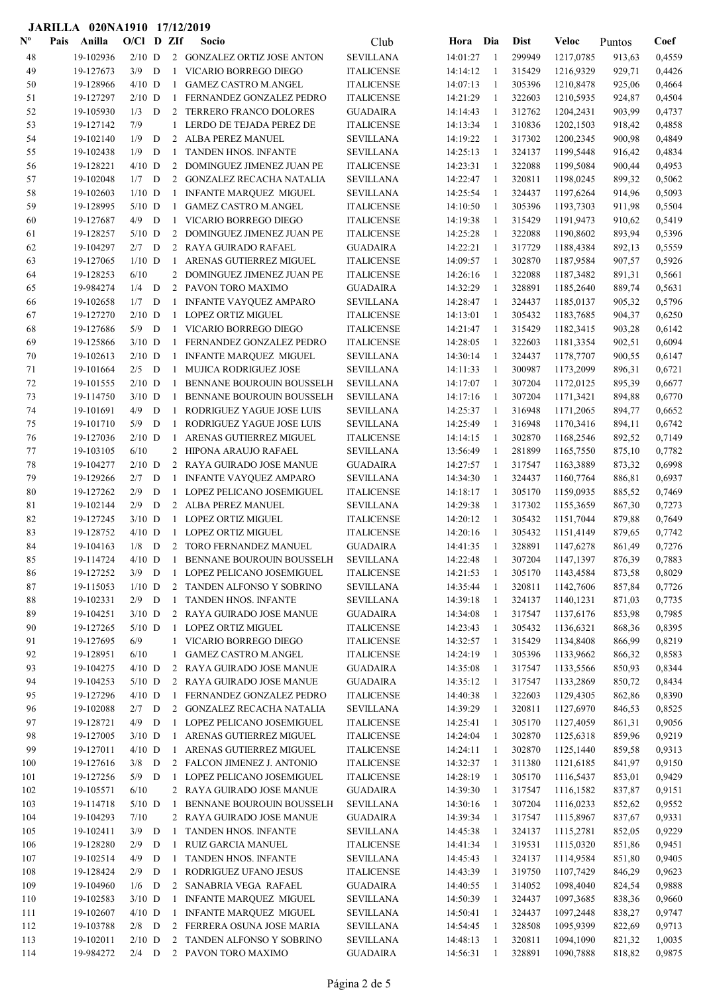|                           | JARILLA 020NA1910 17/12/2019 |                  |   |                |                                                            |                                     |                      |              |                  |                        |                  |                  |
|---------------------------|------------------------------|------------------|---|----------------|------------------------------------------------------------|-------------------------------------|----------------------|--------------|------------------|------------------------|------------------|------------------|
| $\mathbf{N}^{\mathbf{o}}$ | Anilla<br>Pais               | O/Cl D ZIf       |   |                | Socio                                                      | Club                                | Hora                 | Dia          | <b>Dist</b>      | Veloc                  | Puntos           | Coef             |
| 48                        | 19-102936                    | $2/10$ D         |   |                | 2 GONZALEZ ORTIZ JOSE ANTON                                | <b>SEVILLANA</b>                    | 14:01:27             | -1           | 299949           | 1217,0785              | 913,63           | 0,4559           |
| 49                        | 19-127673                    | $3/9$ D          |   | 1              | VICARIO BORREGO DIEGO                                      | <b>ITALICENSE</b>                   | 14:14:12             | -1           | 315429           | 1216,9329              | 929,71           | 0,4426           |
| 50                        | 19-128966                    | $4/10$ D         |   | 1              | <b>GAMEZ CASTRO M.ANGEL</b>                                | <b>ITALICENSE</b>                   | 14:07:13             | -1           | 305396           | 1210,8478              | 925,06           | 0,4664           |
| 51                        | 19-127297                    | $2/10$ D         |   | 1              | FERNANDEZ GONZALEZ PEDRO                                   | <b>ITALICENSE</b>                   | 14:21:29             | -1           | 322603           | 1210,5935              | 924,87           | 0,4504           |
| 52                        | 19-105930                    | 1/3              | D | 2              | TERRERO FRANCO DOLORES                                     | GUADAIRA                            | 14:14:43             | -1           | 312762           | 1204,2431              | 903,99           | 0,4737           |
| 53                        | 19-127142                    | 7/9              |   | 1              | LERDO DE TEJADA PEREZ DE                                   | <b>ITALICENSE</b>                   | 14:13:34             | $\mathbf{1}$ | 310836           | 1202,1503              | 918,42           | 0,4858           |
| 54                        | 19-102140                    | 1/9              | D | 2              | ALBA PEREZ MANUEL                                          | SEVILLANA                           | 14:19:22             | -1           | 317302           | 1200,2345              | 900,98           | 0,4849           |
| 55                        | 19-102438                    | 1/9              | D | -1             | <b>TANDEN HNOS. INFANTE</b>                                | <b>SEVILLANA</b>                    | 14:25:13             | -1           | 324137           | 1199,5448              | 916,42           | 0,4834           |
| 56                        | 19-128221                    | $4/10$ D         |   |                | 2 DOMINGUEZ JIMENEZ JUAN PE                                | <b>ITALICENSE</b>                   | 14:23:31             | 1            | 322088           | 1199,5084              | 900,44           | 0,4953           |
| 57                        | 19-102048                    | $1/7$ D          |   |                | 2 GONZALEZ RECACHA NATALIA                                 | <b>SEVILLANA</b>                    | 14:22:47             | 1            | 320811           | 1198,0245              | 899,32           | 0,5062           |
| 58                        | 19-102603                    | $1/10$ D         |   | 1              | <b>INFANTE MARQUEZ MIGUEL</b>                              | <b>SEVILLANA</b>                    | 14:25:54             | 1            | 324437           | 1197,6264              | 914,96           | 0,5093           |
| 59                        | 19-128995                    | $5/10$ D         |   | 1              | <b>GAMEZ CASTRO M.ANGEL</b>                                | <b>ITALICENSE</b>                   | 14:10:50             | 1            | 305396           | 1193,7303              | 911,98           | 0,5504           |
| 60                        | 19-127687                    | 4/9              | D | 1              | VICARIO BORREGO DIEGO                                      | <b>ITALICENSE</b>                   | 14:19:38             | 1            | 315429           | 1191,9473              | 910,62           | 0,5419           |
| 61                        | 19-128257                    | $5/10$ D         |   | 2              | DOMINGUEZ JIMENEZ JUAN PE                                  | <b>ITALICENSE</b>                   | 14:25:28             | 1            | 322088           | 1190,8602              | 893,94           | 0,5396           |
| 62                        | 19-104297                    | $2/7$ D          |   |                | 2 RAYA GUIRADO RAFAEL                                      | <b>GUADAIRA</b>                     | 14:22:21             | -1           | 317729           | 1188,4384              | 892,13           | 0,5559           |
| 63                        | 19-127065                    | $1/10$ D         |   | -1             | ARENAS GUTIERREZ MIGUEL                                    | <b>ITALICENSE</b>                   | 14:09:57             | -1           | 302870           | 1187,9584              | 907,57           | 0,5926           |
| 64                        | 19-128253                    | 6/10             |   | $\overline{2}$ | DOMINGUEZ JIMENEZ JUAN PE                                  | <b>ITALICENSE</b>                   | 14:26:16             | -1           | 322088           | 1187,3482              | 891,31           | 0,5661           |
| 65                        | 19-984274                    | $1/4$ D          |   |                | 2 PAVON TORO MAXIMO                                        | GUADAIRA                            | 14:32:29             | $\mathbf{1}$ | 328891           | 1185,2640              | 889,74           | 0,5631           |
| 66                        | 19-102658                    | 1/7              | D | 1              | <b>INFANTE VAYQUEZ AMPARO</b>                              | SEVILLANA                           | 14:28:47             | 1            | 324437           | 1185,0137              | 905,32           | 0,5796           |
| 67                        | 19-127270                    | $2/10$ D         |   | 1              | <b>LOPEZ ORTIZ MIGUEL</b>                                  | <b>ITALICENSE</b>                   | 14:13:01             | 1            | 305432           | 1183,7685              | 904,37           | 0,6250           |
| 68                        | 19-127686                    | $5/9$ D          |   | 1              | VICARIO BORREGO DIEGO                                      | <b>ITALICENSE</b>                   | 14:21:47             | 1            | 315429           | 1182,3415              | 903,28           | 0,6142           |
| 69                        | 19-125866                    | $3/10$ D         |   | -1             | FERNANDEZ GONZALEZ PEDRO                                   | <b>ITALICENSE</b>                   | 14:28:05             | 1            | 322603           | 1181,3354              | 902,51           | 0,6094           |
| 70                        | 19-102613                    | $2/10$ D         |   | 1              | <b>INFANTE MARQUEZ MIGUEL</b>                              | <b>SEVILLANA</b>                    | 14:30:14             | 1            | 324437           | 1178,7707              | 900,55           | 0,6147           |
| 71                        | 19-101664                    | $2/5$ D          |   | 1              | <b>MUJICA RODRIGUEZ JOSE</b>                               | <b>SEVILLANA</b>                    | 14:11:33             | 1            | 300987           | 1173,2099              | 896,31           | 0,6721           |
| 72                        | 19-101555                    | $2/10$ D         |   | 1              | BENNANE BOUROUIN BOUSSELH                                  | SEVILLANA                           | 14:17:07             | 1            | 307204           | 1172,0125              | 895,39           | 0,6677           |
| 73                        | 19-114750                    | $3/10$ D         |   | -1             | BENNANE BOUROUIN BOUSSELH                                  | SEVILLANA                           | 14:17:16             | 1            | 307204           | 1171,3421              | 894,88           | 0,6770           |
| 74                        | 19-101691                    | 4/9              | D | 1              | RODRIGUEZ YAGUE JOSE LUIS                                  | SEVILLANA                           | 14:25:37             | -1           | 316948           | 1171,2065              | 894,77           | 0,6652           |
| 75                        | 19-101710                    | 5/9              | D | 1              | RODRIGUEZ YAGUE JOSE LUIS                                  | SEVILLANA                           | 14:25:49             | -1           | 316948           | 1170,3416              | 894,11           | 0,6742           |
| 76                        | 19-127036                    | $2/10$ D         |   | -1             | ARENAS GUTIERREZ MIGUEL                                    | <b>ITALICENSE</b>                   | 14:14:15             | -1           | 302870           | 1168,2546              | 892,52           | 0,7149           |
| 77<br>78                  | 19-103105                    | 6/10<br>$2/10$ D |   | $\overline{2}$ | HIPONA ARAUJO RAFAEL                                       | <b>SEVILLANA</b>                    | 13:56:49             | $\mathbf{1}$ | 281899           | 1165,7550              | 875,10           | 0,7782           |
| 79                        | 19-104277<br>19-129266       | 2/7              | D | 2              | RAYA GUIRADO JOSE MANUE                                    | <b>GUADAIRA</b><br><b>SEVILLANA</b> | 14:27:57             | -1<br>1      | 317547           | 1163,3889              | 873,32           | 0,6998<br>0,6937 |
| 80                        | 19-127262                    | 2/9              | D | 1<br>1         | <b>INFANTE VAYQUEZ AMPARO</b><br>LOPEZ PELICANO JOSEMIGUEL | <b>ITALICENSE</b>                   | 14:34:30<br>14:18:17 | 1            | 324437<br>305170 | 1160,7764              | 886,81           | 0,7469           |
| 81                        | 19-102144                    | 2/9              | D |                | 2 ALBA PEREZ MANUEL                                        | SEVILLANA                           | 14:29:38             | -1           | 317302           | 1159,0935<br>1155,3659 | 885,52<br>867,30 | 0,7273           |
| 82                        | 19-127245                    | $3/10$ D         |   | 1              | <b>LOPEZ ORTIZ MIGUEL</b>                                  | <b>ITALICENSE</b>                   | 14:20:12             | -1           | 305432           | 1151,7044              | 879,88           | 0,7649           |
| 83                        | 19-128752                    | $4/10$ D         |   | 1              | LOPEZ ORTIZ MIGUEL                                         | <b>ITALICENSE</b>                   | 14:20:16             | 1            | 305432           | 1151,4149              | 879,65           | 0,7742           |
| 84                        | 19-104163                    | 1/8              | D | 2              | TORO FERNANDEZ MANUEL                                      | <b>GUADAIRA</b>                     | 14:41:35             | -1           | 328891           | 1147,6278              | 861,49           | 0,7276           |
| 85                        | 19-114724                    | $4/10$ D         |   | 1              | BENNANE BOUROUIN BOUSSELH                                  | SEVILLANA                           | 14:22:48             | -1           | 307204           | 1147,1397              | 876,39           | 0,7883           |
| 86                        | 19-127252                    | $3/9$ D          |   | 1              | LOPEZ PELICANO JOSEMIGUEL                                  | <b>ITALICENSE</b>                   | 14:21:53             | 1            | 305170           | 1143,4584              | 873,58           | 0,8029           |
| 87                        | 19-115053                    | $1/10$ D         |   |                | 2 TANDEN ALFONSO Y SOBRINO                                 | <b>SEVILLANA</b>                    | 14:35:44             | -1           | 320811           | 1142,7606              | 857,84           | 0,7726           |
| 88                        | 19-102331                    | $2/9$ D          |   | -1             | <b>TANDEN HNOS. INFANTE</b>                                | <b>SEVILLANA</b>                    | 14:39:18             | -1           | 324137           | 1140,1231              | 871,03           | 0,7735           |
| 89                        | 19-104251                    | $3/10$ D         |   |                | 2 RAYA GUIRADO JOSE MANUE                                  | <b>GUADAIRA</b>                     | 14:34:08             | -1           | 317547           | 1137,6176              | 853,98           | 0,7985           |
| 90                        | 19-127265                    | $5/10$ D         |   | $\mathbf{1}$   | <b>LOPEZ ORTIZ MIGUEL</b>                                  | <b>ITALICENSE</b>                   | 14:23:43             | $\mathbf{1}$ | 305432           | 1136,6321              | 868,36           | 0,8395           |
| 91                        | 19-127695                    | 6/9              |   | 1              | VICARIO BORREGO DIEGO                                      | <b>ITALICENSE</b>                   | 14:32:57             | 1            | 315429           | 1134,8408              | 866,99           | 0,8219           |
| 92                        | 19-128951                    | 6/10             |   | $\mathbf{1}$   | <b>GAMEZ CASTRO M.ANGEL</b>                                | <b>ITALICENSE</b>                   | 14:24:19             | 1            | 305396           | 1133,9662              | 866,32           | 0,8583           |
| 93                        | 19-104275                    | $4/10$ D         |   |                | 2 RAYA GUIRADO JOSE MANUE                                  | <b>GUADAIRA</b>                     | 14:35:08             | -1           | 317547           | 1133,5566              | 850,93           | 0,8344           |
| 94                        | 19-104253                    | $5/10$ D         |   |                | 2 RAYA GUIRADO JOSE MANUE                                  | <b>GUADAIRA</b>                     | 14:35:12             | -1           | 317547           | 1133,2869              | 850,72           | 0,8434           |
| 95                        | 19-127296                    | $4/10$ D         |   | 1              | FERNANDEZ GONZALEZ PEDRO                                   | <b>ITALICENSE</b>                   | 14:40:38             | -1           | 322603           | 1129,4305              | 862,86           | 0,8390           |
| 96                        | 19-102088                    | $2/7$ D          |   |                | 2 GONZALEZ RECACHA NATALIA                                 | <b>SEVILLANA</b>                    | 14:39:29             | 1            | 320811           | 1127,6970              | 846,53           | 0,8525           |
| 97                        | 19-128721                    | $4/9$ D          |   | 1              | LOPEZ PELICANO JOSEMIGUEL                                  | <b>ITALICENSE</b>                   | 14:25:41             | 1            | 305170           | 1127,4059              | 861,31           | 0,9056           |
| 98                        | 19-127005                    | $3/10$ D         |   | 1              | ARENAS GUTIERREZ MIGUEL                                    | <b>ITALICENSE</b>                   | 14:24:04             | 1            | 302870           | 1125,6318              | 859,96           | 0,9219           |
| 99                        | 19-127011                    | $4/10$ D         |   | 1              | ARENAS GUTIERREZ MIGUEL                                    | <b>ITALICENSE</b>                   | 14:24:11             | -1           | 302870           | 1125,1440              | 859,58           | 0,9313           |
| 100                       | 19-127616                    | $3/8$ D          |   |                | 2 FALCON JIMENEZ J. ANTONIO                                | <b>ITALICENSE</b>                   | 14:32:37             | -1           | 311380           | 1121,6185              | 841,97           | 0,9150           |
| 101                       | 19-127256                    | $5/9$ D          |   | -1             | LOPEZ PELICANO JOSEMIGUEL                                  | <b>ITALICENSE</b>                   | 14:28:19             | -1           | 305170           | 1116,5437              | 853,01           | 0,9429           |
| 102                       | 19-105571                    | 6/10             |   |                | 2 RAYA GUIRADO JOSE MANUE                                  | <b>GUADAIRA</b>                     | 14:39:30             | -1           | 317547           | 1116,1582              | 837,87           | 0,9151           |
| 103                       | 19-114718                    | $5/10$ D         |   | -1             | BENNANE BOUROUIN BOUSSELH                                  | <b>SEVILLANA</b>                    | 14:30:16             | -1           | 307204           | 1116,0233              | 852,62           | 0,9552           |
| 104                       | 19-104293                    | 7/10             |   |                | 2 RAYA GUIRADO JOSE MANUE                                  | <b>GUADAIRA</b>                     | 14:39:34             | 1            | 317547           | 1115,8967              | 837,67           | 0,9331           |
| 105                       | 19-102411                    | $3/9$ D          |   | -1             | TANDEN HNOS. INFANTE                                       | <b>SEVILLANA</b>                    | 14:45:38             | -1           | 324137           | 1115,2781              | 852,05           | 0,9229           |
| 106                       | 19-128280                    | 2/9              | D | 1              | RUIZ GARCIA MANUEL                                         | <b>ITALICENSE</b>                   | 14:41:34             | -1           | 319531           | 1115,0320              | 851,86           | 0,9451           |
| 107                       | 19-102514                    | 4/9              | D | 1              | TANDEN HNOS. INFANTE                                       | <b>SEVILLANA</b>                    | 14:45:43             | -1           | 324137           | 1114,9584              | 851,80           | 0,9405           |
| 108                       | 19-128424                    | 2/9              | D | $\mathbf{1}$   | RODRIGUEZ UFANO JESUS                                      | <b>ITALICENSE</b>                   | 14:43:39             | 1            | 319750           | 1107,7429              | 846,29           | 0,9623           |
| 109                       | 19-104960                    | $1/6$ D          |   | $\overline{2}$ | SANABRIA VEGA RAFAEL                                       | <b>GUADAIRA</b>                     | 14:40:55             | -1           | 314052           | 1098,4040              | 824,54           | 0,9888           |
| 110                       | 19-102583                    | $3/10$ D         |   | 1              | INFANTE MARQUEZ MIGUEL                                     | SEVILLANA                           | 14:50:39             | 1            | 324437           | 1097,3685              | 838,36           | 0,9660           |
| 111                       | 19-102607                    | $4/10$ D         |   | 1              | <b>INFANTE MARQUEZ MIGUEL</b>                              | <b>SEVILLANA</b>                    | 14:50:41             | -1           | 324437           | 1097,2448              | 838,27           | 0,9747           |
| 112                       | 19-103788                    | $2/8$ D          |   |                | 2 FERRERA OSUNA JOSE MARIA                                 | <b>SEVILLANA</b>                    | 14:54:45             | -1           | 328508           | 1095,9399              | 822,69           | 0,9713           |
| 113                       | 19-102011                    | $2/10$ D         |   |                | 2 TANDEN ALFONSO Y SOBRINO                                 | <b>SEVILLANA</b>                    | 14:48:13             | -1           | 320811           | 1094,1090              | 821,32           | 1,0035           |
| 114                       | 19-984272                    | $2/4$ D          |   |                | 2 PAVON TORO MAXIMO                                        | <b>GUADAIRA</b>                     | 14:56:31             | -1           | 328891           | 1090,7888              | 818,82           | 0,9875           |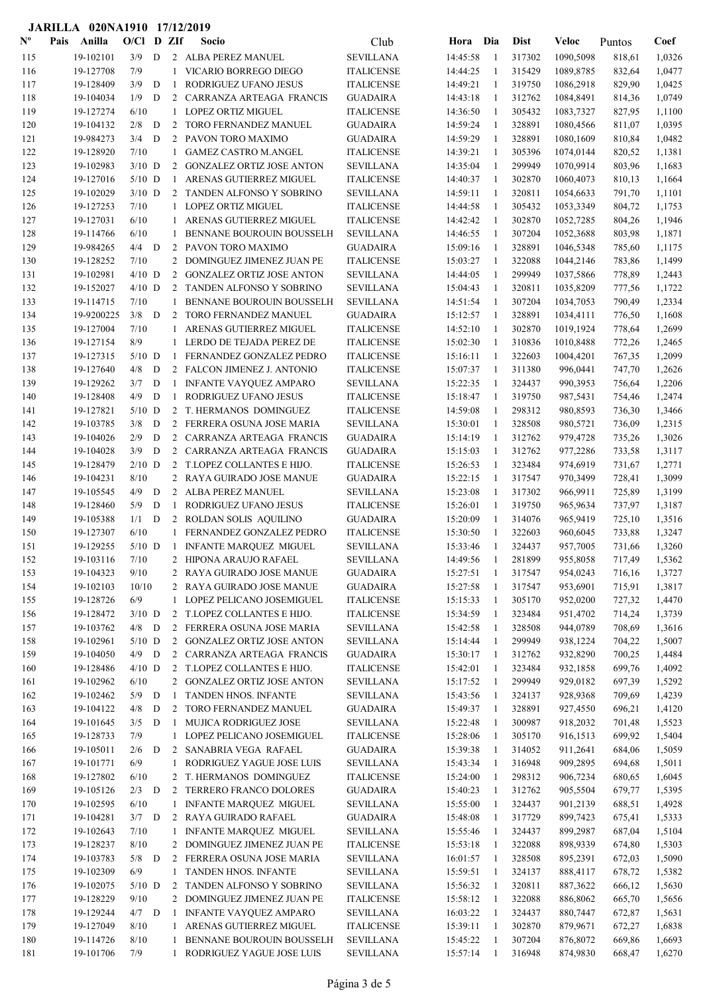| $\mathbf{N}^{\mathbf{o}}$ | Pais | Anilla                  | O/Cl            |   | D ZIf             | Socio                                             | Club                                 | Hora                 | Dia          | <b>Dist</b>      | Veloc                  | Puntos           | Coef             |
|---------------------------|------|-------------------------|-----------------|---|-------------------|---------------------------------------------------|--------------------------------------|----------------------|--------------|------------------|------------------------|------------------|------------------|
| 115                       |      | 19-102101               | 3/9             | D |                   | 2 ALBA PEREZ MANUEL                               | <b>SEVILLANA</b>                     | 14:45:58             | -1           | 317302           | 1090,5098              | 818,61           | 1,0326           |
| 116                       |      | 19-127708               | 7/9             |   | 1                 | VICARIO BORREGO DIEGO                             | <b>ITALICENSE</b>                    | 14:44:25             | 1            | 315429           | 1089,8785              | 832,64           | 1,0477           |
| 117                       |      | 19-128409               | 3/9             | D | -1                | RODRIGUEZ UFANO JESUS                             | <b>ITALICENSE</b>                    | 14:49:21             | -1           | 319750           | 1086,2918              | 829,90           | 1,0425           |
| 118                       |      | 19-104034               | 1/9             | D | 2                 | CARRANZA ARTEAGA FRANCIS                          | <b>GUADAIRA</b>                      | 14:43:18             | -1           | 312762           | 1084,8491              | 814,36           | 1,0749           |
| 119                       |      | 19-127274               | 6/10            |   | 1                 | LOPEZ ORTIZ MIGUEL                                | <b>ITALICENSE</b>                    | 14:36:50             | $\mathbf{1}$ | 305432           | 1083,7327              | 827,95           | 1,1100           |
| 120                       |      | 19-104132               | 2/8             | D | 2                 | TORO FERNANDEZ MANUEL                             | <b>GUADAIRA</b>                      | 14:59:24             | $\mathbf{1}$ | 328891           | 1080,4566              | 811,07           | 1,0395           |
| 121                       |      | 19-984273               | 3/4             | D | 2                 | PAVON TORO MAXIMO                                 | <b>GUADAIRA</b>                      | 14:59:29             | 1            | 328891           | 1080,1609              | 810,84           | 1,0482           |
| 122                       |      | 19-128920               | 7/10            |   | 1                 | <b>GAMEZ CASTRO M.ANGEL</b>                       | <b>ITALICENSE</b>                    | 14:39:21             | 1            | 305396           | 1074,0144              | 820,52           | 1,1381           |
| 123                       |      | 19-102983               | $3/10$ D        |   | 2                 | <b>GONZALEZ ORTIZ JOSE ANTON</b>                  | <b>SEVILLANA</b>                     | 14:35:04             | 1            | 299949           | 1070,9914              | 803,96           | 1,1683           |
| 124                       |      | 19-127016               | $5/10$ D        |   | 1                 | ARENAS GUTIERREZ MIGUEL                           | <b>ITALICENSE</b>                    | 14:40:37             | $\mathbf{1}$ | 302870           | 1060,4073              | 810,13           | 1,1664           |
| 125                       |      | 19-102029               | $3/10$ D        |   |                   | 2 TANDEN ALFONSO Y SOBRINO                        | <b>SEVILLANA</b>                     | 14:59:11             | 1            | 320811           | 1054,6633              | 791,70           | 1,1101           |
| 126                       |      | 19-127253               | 7/10            |   |                   | 1 LOPEZ ORTIZ MIGUEL                              | <b>ITALICENSE</b>                    | 14:44:58             | 1            | 305432           | 1053,3349              | 804,72           | 1,1753           |
| 127                       |      | 19-127031               | 6/10            |   |                   | 1 ARENAS GUTIERREZ MIGUEL                         | <b>ITALICENSE</b>                    | 14:42:42             | 1            | 302870           | 1052,7285              | 804,26           | 1,1946           |
| 128                       |      | 19-114766               | 6/10            |   | 1                 | BENNANE BOUROUIN BOUSSELH                         | <b>SEVILLANA</b>                     | 14:46:55             | $\mathbf{1}$ | 307204           | 1052,3688              | 803,98           | 1,1871           |
| 129                       |      | 19-984265               | 4/4             | D | 2                 | PAVON TORO MAXIMO                                 | <b>GUADAIRA</b>                      | 15:09:16             | -1           | 328891           | 1046,5348              | 785,60           | 1,1175           |
| 130                       |      | 19-128252               | 7/10            |   | $\overline{c}$    | DOMINGUEZ JIMENEZ JUAN PE                         | <b>ITALICENSE</b>                    | 15:03:27             | -1           | 322088           | 1044,2146              | 783,86           | 1,1499           |
| 131                       |      | 19-102981               | $4/10$ D        |   | 2                 | <b>GONZALEZ ORTIZ JOSE ANTON</b>                  | <b>SEVILLANA</b>                     | 14:44:05             | $\mathbf{1}$ | 299949           | 1037,5866              | 778,89           | 1,2443           |
| 132                       |      | 19-152027               | $4/10$ D        |   | 2                 | TANDEN ALFONSO Y SOBRINO                          | <b>SEVILLANA</b>                     | 15:04:43             | $\mathbf{1}$ | 320811           | 1035,8209              | 777,56           | 1,1722           |
| 133                       |      | 19-114715               | 7/10            |   | 1                 | BENNANE BOUROUIN BOUSSELH                         | <b>SEVILLANA</b>                     | 14:51:54             | 1            | 307204           | 1034,7053              | 790,49           | 1,2334           |
| 134<br>135                |      | 19-9200225<br>19-127004 | $3/8$ D<br>7/10 |   | 2<br>$\mathbf{1}$ | TORO FERNANDEZ MANUEL<br>ARENAS GUTIERREZ MIGUEL  | <b>GUADAIRA</b><br><b>ITALICENSE</b> | 15:12:57<br>14:52:10 | 1<br>1       | 328891<br>302870 | 1034,4111<br>1019,1924 | 776,50           | 1,1608           |
| 136                       |      | 19-127154               | 8/9             |   |                   | 1 LERDO DE TEJADA PEREZ DE                        | <b>ITALICENSE</b>                    | 15:02:30             | 1            | 310836           | 1010,8488              | 778,64<br>772,26 | 1,2699<br>1,2465 |
| 137                       |      | 19-127315               | $5/10$ D        |   |                   | 1 FERNANDEZ GONZALEZ PEDRO                        | <b>ITALICENSE</b>                    | 15:16:11             | -1           | 322603           | 1004,4201              | 767,35           | 1,2099           |
| 138                       |      | 19-127640               | 4/8             | D |                   | 2 FALCON JIMENEZ J. ANTONIO                       | <b>ITALICENSE</b>                    | 15:07:37             | -1           | 311380           | 996,0441               | 747,70           | 1,2626           |
| 139                       |      | 19-129262               | 3/7             | D |                   | 1 INFANTE VAYQUEZ AMPARO                          | <b>SEVILLANA</b>                     | 15:22:35             | 1            | 324437           | 990,3953               | 756,64           | 1,2206           |
| 140                       |      | 19-128408               | 4/9             | D | 1                 | RODRIGUEZ UFANO JESUS                             | <b>ITALICENSE</b>                    | 15:18:47             | 1            | 319750           | 987,5431               | 754,46           | 1,2474           |
| 141                       |      | 19-127821               | $5/10$ D        |   |                   | 2 T. HERMANOS DOMINGUEZ                           | <b>ITALICENSE</b>                    | 14:59:08             | -1           | 298312           | 980,8593               | 736,30           | 1,3466           |
| 142                       |      | 19-103785               | 3/8             | D | $\overline{2}$    | FERRERA OSUNA JOSE MARIA                          | <b>SEVILLANA</b>                     | 15:30:01             | 1            | 328508           | 980,5721               | 736,09           | 1,2315           |
| 143                       |      | 19-104026               | 2/9             | D |                   | 2 CARRANZA ARTEAGA FRANCIS                        | <b>GUADAIRA</b>                      | 15:14:19             | $\mathbf{1}$ | 312762           | 979,4728               | 735,26           | 1,3026           |
| 144                       |      | 19-104028               | 3/9             | D | 2                 | CARRANZA ARTEAGA FRANCIS                          | <b>GUADAIRA</b>                      | 15:15:03             | $\mathbf{1}$ | 312762           | 977,2286               | 733,58           | 1,3117           |
| 145                       |      | 19-128479               | $2/10$ D        |   | 2                 | T.LOPEZ COLLANTES E HIJO.                         | <b>ITALICENSE</b>                    | 15:26:53             | -1           | 323484           | 974,6919               | 731,67           | 1,2771           |
| 146                       |      | 19-104231               | 8/10            |   |                   | 2 RAYA GUIRADO JOSE MANUE                         | <b>GUADAIRA</b>                      | 15:22:15             | 1            | 317547           | 970,3499               | 728,41           | 1,3099           |
| 147                       |      | 19-105545               | 4/9             | D | 2                 | ALBA PEREZ MANUEL                                 | <b>SEVILLANA</b>                     | 15:23:08             | 1            | 317302           | 966,9911               | 725,89           | 1,3199           |
| 148                       |      | 19-128460               | 5/9             | D | $\mathbf{1}$      | RODRIGUEZ UFANO JESUS                             | <b>ITALICENSE</b>                    | 15:26:01             | 1            | 319750           | 965,9634               | 737,97           | 1,3187           |
| 149                       |      | 19-105388               | 1/1             | D |                   | 2 ROLDAN SOLIS AQUILINO                           | <b>GUADAIRA</b>                      | 15:20:09             | 1            | 314076           | 965,9419               | 725,10           | 1,3516           |
| 150                       |      | 19-127307               | 6/10            |   |                   | 1 FERNANDEZ GONZALEZ PEDRO                        | <b>ITALICENSE</b>                    | 15:30:50             | 1            | 322603           | 960,6045               | 733,88           | 1,3247           |
| 151                       |      | 19-129255               | $5/10$ D        |   | 1                 | <b>INFANTE MARQUEZ MIGUEL</b>                     | <b>SEVILLANA</b>                     | 15:33:46             | 1            | 324437           | 957,7005               | 731,66           | 1,3260           |
| 152                       |      | 19-103116               | 7/10            |   |                   | 2 HIPONA ARAUJO RAFAEL                            | <b>SEVILLANA</b>                     | 14:49:56             | $\mathbf{1}$ | 281899           | 955,8058               | 717,49           | 1,5362           |
| 153                       |      | 19-104323               | 9/10            |   |                   | 2 RAYA GUIRADO JOSE MANUE                         | <b>GUADAIRA</b>                      | 15:27:51             | 1            | 317547           | 954,0243               | 716,16           | 1,3727           |
| 154                       |      | 19-102103               | 10/10           |   |                   | 2 RAYA GUIRADO JOSE MANUE                         | <b>GUADAIRA</b>                      | 15:27:58             | $\mathbf{1}$ | 317547           | 953,6901               | 715,91           | 1,3817           |
| 155                       |      | 19-128726               | 6/9             |   | $\mathbf{1}$      | LOPEZ PELICANO JOSEMIGUEL                         | <b>ITALICENSE</b>                    | 15:15:33             | -1           | 305170           | 952,0200               | 727,32           | 1,4470           |
| 156                       |      | 19-128472               | $3/10$ D        |   | 2                 | T.LOPEZ COLLANTES E HIJO.                         | <b>ITALICENSE</b>                    | 15:34:59             | $\mathbf{1}$ | 323484           | 951,4702               | 714,24           | 1,3739           |
| 157                       |      | 19-103762               | $4/8$ D         |   |                   | 2 FERRERA OSUNA JOSE MARIA                        | <b>SEVILLANA</b>                     | 15:42:58             | $\mathbf{1}$ | 328508           | 944,0789               | 708,69           | 1,3616           |
| 158                       |      | 19-102961               | $5/10$ D        |   |                   | 2 GONZALEZ ORTIZ JOSE ANTON                       | <b>SEVILLANA</b>                     | 15:14:44             | 1            | 299949           | 938,1224               | 704,22           | 1,5007           |
| 159                       |      | 19-104050               | $4/9$ D         |   | $\overline{2}$    | CARRANZA ARTEAGA FRANCIS                          | <b>GUADAIRA</b>                      | 15:30:17             | 1            | 312762           | 932,8290               | 700,25           | 1,4484           |
| 160                       |      | 19-128486               | $4/10$ D        |   |                   | 2 T.LOPEZ COLLANTES E HIJO.                       | <b>ITALICENSE</b>                    | 15:42:01             | $\mathbf{1}$ | 323484           | 932,1858               | 699,76           | 1,4092           |
| 161                       |      | 19-102962               | 6/10            |   |                   | 2 GONZALEZ ORTIZ JOSE ANTON                       | <b>SEVILLANA</b>                     | 15:17:52             | $\mathbf{1}$ | 299949           | 929,0182               | 697,39           | 1,5292           |
| 162                       |      | 19-102462               | $5/9$ D         |   |                   | 1 TANDEN HNOS. INFANTE                            | <b>SEVILLANA</b>                     | 15:43:56             | -1           | 324137           | 928,9368               | 709,69           | 1,4239           |
| 163                       |      | 19-104122               | 4/8             | D |                   | 2 TORO FERNANDEZ MANUEL                           | <b>GUADAIRA</b>                      | 15:49:37             | -1           | 328891           | 927,4550               | 696,21           | 1,4120           |
| 164                       |      | 19-101645               | 3/5             | D | $\mathbf{1}$      | MUJICA RODRIGUEZ JOSE                             | <b>SEVILLANA</b>                     | 15:22:48             | $\mathbf{1}$ | 300987           | 918,2032               | 701,48           | 1,5523           |
| 165                       |      | 19-128733               | 7/9             |   |                   | 1 LOPEZ PELICANO JOSEMIGUEL                       | <b>ITALICENSE</b>                    | 15:28:06             | -1           | 305170           | 916,1513               | 699,92           | 1,5404           |
| 166                       |      | 19-105011               | 2/6             | D |                   | 2 SANABRIA VEGA RAFAEL                            | <b>GUADAIRA</b>                      | 15:39:38             | -1           | 314052           | 911,2641               | 684,06           | 1,5059           |
| 167                       |      | 19-101771               | 6/9             |   | 1                 | RODRIGUEZ YAGUE JOSE LUIS                         | <b>SEVILLANA</b>                     | 15:43:34             | -1           | 316948           | 909,2895               | 694,68           | 1,5011           |
| 168                       |      | 19-127802               | 6/10            |   |                   | 2 T. HERMANOS DOMINGUEZ                           | <b>ITALICENSE</b>                    | 15:24:00             | $\mathbf{1}$ | 298312           | 906,7234               | 680,65           | 1,6045           |
| 169<br>170                |      | 19-105126               | $2/3$ D<br>6/10 |   | 2                 | TERRERO FRANCO DOLORES                            | <b>GUADAIRA</b>                      | 15:40:23             | 1            | 312762           | 905,5504               | 679,77           | 1,5395           |
| 171                       |      | 19-102595<br>19-104281  | $3/7$ D         |   |                   | 1 INFANTE MARQUEZ MIGUEL<br>2 RAYA GUIRADO RAFAEL | <b>SEVILLANA</b><br><b>GUADAIRA</b>  | 15:55:00<br>15:48:08 | 1<br>1       | 324437<br>317729 | 901,2139<br>899,7423   | 688,51<br>675,41 | 1,4928<br>1,5333 |
| 172                       |      | 19-102643               | 7/10            |   |                   | 1 INFANTE MARQUEZ MIGUEL                          | <b>SEVILLANA</b>                     | 15:55:46             | -1           | 324437           | 899,2987               | 687,04           | 1,5104           |
| 173                       |      | 19-128237               | 8/10            |   |                   | 2 DOMINGUEZ JIMENEZ JUAN PE                       | <b>ITALICENSE</b>                    | 15:53:18             | -1           | 322088           | 898,9339               | 674,80           | 1,5303           |
| 174                       |      | 19-103783               | $5/8$ D         |   |                   | 2 FERRERA OSUNA JOSE MARIA                        | <b>SEVILLANA</b>                     | 16:01:57             | -1           | 328508           | 895,2391               | 672,03           | 1,5090           |
| 175                       |      | 19-102309               | 6/9             |   |                   | 1 TANDEN HNOS. INFANTE                            | <b>SEVILLANA</b>                     | 15:59:51             | -1           | 324137           | 888,4117               | 678,72           | 1,5382           |
| 176                       |      | 19-102075               | $5/10$ D        |   |                   | 2 TANDEN ALFONSO Y SOBRINO                        | <b>SEVILLANA</b>                     | 15:56:32             | 1            | 320811           | 887,3622               | 666,12           | 1,5630           |
| 177                       |      | 19-128229               | 9/10            |   |                   | 2 DOMINGUEZ JIMENEZ JUAN PE                       | <b>ITALICENSE</b>                    | 15:58:12             | -1           | 322088           | 886,8062               | 665,70           | 1,5656           |
| 178                       |      | 19-129244               | $4/7$ D         |   | -1                | INFANTE VAYQUEZ AMPARO                            | <b>SEVILLANA</b>                     | 16:03:22             | -1           | 324437           | 880,7447               | 672,87           | 1,5631           |
| 179                       |      | 19-127049               | 8/10            |   | $\mathbf{1}$      | ARENAS GUTIERREZ MIGUEL                           | <b>ITALICENSE</b>                    | 15:39:11             | $\mathbf{1}$ | 302870           | 879,9671               | 672,27           | 1,6838           |
| 180                       |      | 19-114726               | 8/10            |   |                   | 1 BENNANE BOUROUIN BOUSSELH                       | <b>SEVILLANA</b>                     | 15:45:22             | 1            | 307204           | 876,8072               | 669,86           | 1,6693           |

JARILLA 020NA1910 17/12/2019

181 19-101706 7/9 1 RODRIGUEZ YAGUE JOSE LUIS SEVILLANA 15:57:14 1 316948 874,9830 668,47 1,6270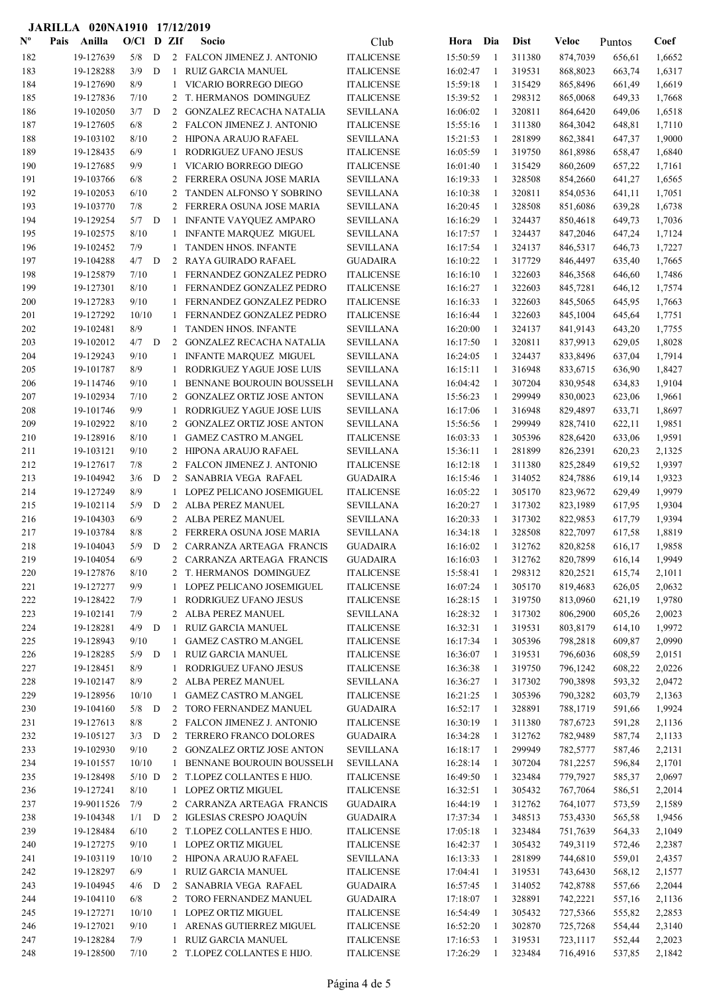|                           | JARILLA 020NA1910 17/12/2019 |                        |              |   |                |                                                        |                                    |                      |              |                  |                      |                  |                  |
|---------------------------|------------------------------|------------------------|--------------|---|----------------|--------------------------------------------------------|------------------------------------|----------------------|--------------|------------------|----------------------|------------------|------------------|
| $\mathbf{N}^{\mathbf{o}}$ | Pais                         | Anilla                 | $O/C1$ D ZIf |   |                | Socio                                                  | Club                               | Hora                 | Dia          | <b>Dist</b>      | <b>Veloc</b>         | Puntos           | Coef             |
| 182                       |                              | 19-127639              | 5/8          | D |                | 2 FALCON JIMENEZ J. ANTONIO                            | <b>ITALICENSE</b>                  | 15:50:59             | -1           | 311380           | 874,7039             | 656,61           | 1,6652           |
| 183                       |                              | 19-128288              | 3/9          | D | $\mathbf{1}$   | RUIZ GARCIA MANUEL                                     | <b>ITALICENSE</b>                  | 16:02:47             | -1           | 319531           | 868,8023             | 663,74           | 1,6317           |
| 184                       |                              | 19-127690              | 8/9          |   | 1              | VICARIO BORREGO DIEGO                                  | <b>ITALICENSE</b>                  | 15:59:18             | -1           | 315429           | 865,8496             | 661,49           | 1,6619           |
| 185                       |                              | 19-127836              | 7/10         |   |                | 2 T. HERMANOS DOMINGUEZ                                | <b>ITALICENSE</b>                  | 15:39:52             | -1           | 298312           | 865,0068             | 649,33           | 1,7668           |
| 186                       |                              | 19-102050              | 3/7          | D | 2              | <b>GONZALEZ RECACHA NATALIA</b>                        | <b>SEVILLANA</b>                   | 16:06:02             | -1           | 320811           | 864,6420             | 649,06           | 1,6518           |
| 187                       |                              | 19-127605              | 6/8          |   |                | 2 FALCON JIMENEZ J. ANTONIO                            | <b>ITALICENSE</b>                  | 15:55:16             | 1            | 311380           | 864,3042             | 648,81           | 1,7110           |
| 188                       |                              | 19-103102              | 8/10         |   | $\mathbf{2}$   | HIPONA ARAUJO RAFAEL                                   | <b>SEVILLANA</b>                   | 15:21:53             | 1            | 281899           | 862,3841             | 647,37           | 1,9000           |
| 189                       |                              | 19-128435              | 6/9          |   | 1              | RODRIGUEZ UFANO JESUS                                  | <b>ITALICENSE</b>                  | 16:05:59             | 1            | 319750           | 861,8986             | 658,47           | 1,6840           |
| 190                       |                              | 19-127685              | 9/9          |   | 1              | VICARIO BORREGO DIEGO                                  | <b>ITALICENSE</b>                  | 16:01:40             | 1            | 315429           | 860,2609             | 657,22           | 1,7161           |
| 191                       |                              | 19-103766              | 6/8          |   |                | 2 FERRERA OSUNA JOSE MARIA                             | <b>SEVILLANA</b>                   | 16:19:33             | -1           | 328508           | 854,2660             | 641,27           | 1,6565           |
| 192                       |                              | 19-102053              | 6/10         |   | 2              | TANDEN ALFONSO Y SOBRINO                               | <b>SEVILLANA</b>                   | 16:10:38             | 1            | 320811           | 854,0536             | 641,11           | 1,7051           |
| 193                       |                              | 19-103770              | 7/8          |   |                | 2 FERRERA OSUNA JOSE MARIA                             | <b>SEVILLANA</b>                   | 16:20:45             | -1           | 328508           | 851,6086             | 639,28           | 1,6738           |
| 194                       |                              | 19-129254              | $5/7$ D      |   | -1             | INFANTE VAYQUEZ AMPARO                                 | <b>SEVILLANA</b>                   | 16:16:29             | 1            | 324437           | 850,4618             | 649,73           | 1,7036           |
| 195                       |                              | 19-102575              | 8/10         |   | 1              | <b>INFANTE MARQUEZ MIGUEL</b>                          | <b>SEVILLANA</b>                   | 16:17:57             | -1           | 324437           | 847,2046             | 647,24           | 1,7124           |
| 196                       |                              | 19-102452              | 7/9          |   | 1              | TANDEN HNOS. INFANTE                                   | <b>SEVILLANA</b>                   | 16:17:54             | -1           | 324137           | 846,5317             | 646,73           | 1,7227           |
| 197                       |                              | 19-104288              | 4/7          | D |                | 2 RAYA GUIRADO RAFAEL                                  | <b>GUADAIRA</b>                    | 16:10:22             | -1           | 317729           | 846,4497             | 635,40           | 1,7665           |
| 198                       |                              | 19-125879              | 7/10         |   | 1              | FERNANDEZ GONZALEZ PEDRO                               | <b>ITALICENSE</b>                  | 16:16:10             | $\mathbf{1}$ | 322603           | 846,3568             | 646,60           | 1,7486           |
| 199                       |                              | 19-127301              | 8/10         |   | 1              | FERNANDEZ GONZALEZ PEDRO                               | <b>ITALICENSE</b>                  | 16:16:27             | $\mathbf{1}$ | 322603           | 845,7281             | 646,12           | 1,7574           |
| 200                       |                              | 19-127283              | 9/10         |   | 1              | FERNANDEZ GONZALEZ PEDRO                               | <b>ITALICENSE</b>                  | 16:16:33             | 1            | 322603           | 845,5065             | 645,95           | 1,7663           |
| 201                       |                              | 19-127292              | 10/10        |   | -1             | FERNANDEZ GONZALEZ PEDRO                               | <b>ITALICENSE</b>                  | 16:16:44             | -1           | 322603           | 845,1004             | 645,64           | 1,7751           |
| 202                       |                              | 19-102481              | 8/9          |   | 1              | TANDEN HNOS. INFANTE                                   | <b>SEVILLANA</b>                   | 16:20:00             | 1            | 324137           | 841,9143             | 643,20           | 1,7755           |
| 203                       |                              | 19-102012              | $4/7$ D      |   | 2              | <b>GONZALEZ RECACHA NATALIA</b>                        | <b>SEVILLANA</b>                   | 16:17:50             | -1           | 320811           | 837,9913             | 629,05           | 1,8028           |
| 204                       |                              | 19-129243              | 9/10         |   | 1              | <b>INFANTE MARQUEZ MIGUEL</b>                          | <b>SEVILLANA</b>                   | 16:24:05             | -1           | 324437           | 833,8496             | 637,04           | 1,7914           |
| 205                       |                              | 19-101787              | 8/9          |   | 1              | RODRIGUEZ YAGUE JOSE LUIS                              | <b>SEVILLANA</b>                   | 16:15:11             | -1           | 316948           | 833,6715             | 636,90           | 1,8427           |
| 206                       |                              | 19-114746              | 9/10         |   | -1             | BENNANE BOUROUIN BOUSSELH                              | <b>SEVILLANA</b>                   | 16:04:42             | -1           | 307204           | 830,9548             | 634,83           | 1,9104           |
| 207                       |                              | 19-102934              | 7/10         |   | 2              | <b>GONZALEZ ORTIZ JOSE ANTON</b>                       | <b>SEVILLANA</b>                   | 15:56:23             | 1            | 299949           | 830,0023             | 623,06           | 1,9661           |
| 208                       |                              | 19-101746              | 9/9          |   | -1             | RODRIGUEZ YAGUE JOSE LUIS                              | <b>SEVILLANA</b>                   | 16:17:06             | -1           | 316948           | 829,4897             | 633,71           | 1,8697           |
| 209                       |                              | 19-102922              | 8/10         |   | 2              | <b>GONZALEZ ORTIZ JOSE ANTON</b>                       | <b>SEVILLANA</b>                   | 15:56:56             | -1           | 299949           | 828,7410             | 622,11           | 1,9851           |
| 210                       |                              | 19-128916              | 8/10         |   | -1             | <b>GAMEZ CASTRO M.ANGEL</b>                            | <b>ITALICENSE</b>                  | 16:03:33             | $\mathbf{1}$ | 305396           | 828,6420             | 633,06           | 1,9591           |
| 211                       |                              | 19-103121              | 9/10         |   | 2              | HIPONA ARAUJO RAFAEL                                   | <b>SEVILLANA</b>                   | 15:36:11             | 1            | 281899           | 826,2391             | 620,23           | 2,1325           |
| 212                       |                              | 19-127617              | 7/8          |   |                | 2 FALCON JIMENEZ J. ANTONIO                            | <b>ITALICENSE</b>                  | 16:12:18             | 1            | 311380           | 825,2849             | 619,52           | 1,9397           |
| 213                       |                              | 19-104942              | 3/6          | D | 2              | SANABRIA VEGA RAFAEL                                   | <b>GUADAIRA</b>                    | 16:15:46             | 1            | 314052           | 824,7886             | 619,14           | 1,9323           |
| 214                       |                              | 19-127249              | 8/9          |   | 1              | LOPEZ PELICANO JOSEMIGUEL<br>2 ALBA PEREZ MANUEL       | <b>ITALICENSE</b>                  | 16:05:22             | 1            | 305170           | 823,9672             | 629,49           | 1,9979           |
| 215                       |                              | 19-102114              | 5/9          | D |                |                                                        | <b>SEVILLANA</b>                   | 16:20:27             | 1            | 317302           | 823,1989             | 617,95           | 1,9304           |
| 216                       |                              | 19-104303              | 6/9          |   |                | 2 ALBA PEREZ MANUEL                                    | <b>SEVILLANA</b>                   | 16:20:33             | -1           | 317302           | 822,9853             | 617,79           | 1,9394           |
| 217                       |                              | 19-103784<br>19-104043 | 8/8<br>5/9   | D | $\overline{2}$ | 2 FERRERA OSUNA JOSE MARIA                             | <b>SEVILLANA</b>                   | 16:34:18<br>16:16:02 | 1<br>-1      | 328508           | 822,7097             | 617,58           | 1,8819<br>1,9858 |
| 218<br>219                |                              | 19-104054              | $6/9$        |   |                | CARRANZA ARTEAGA FRANCIS<br>2 CARRANZA ARTEAGA FRANCIS | <b>GUADAIRA</b><br><b>GUADAIRA</b> | 16:16:03             | 1            | 312762<br>312762 | 820,8258<br>820,7899 | 616,17<br>616,14 | 1,9949           |
| 220                       |                              | 19-127876              | 8/10         |   |                | 2 T. HERMANOS DOMINGUEZ                                | <b>ITALICENSE</b>                  | 15:58:41             | 1            | 298312           | 820,2521             | 615,74           | 2,1011           |
| 221                       |                              | 19-127277              | 9/9          |   |                | 1 LOPEZ PELICANO JOSEMIGUEL                            | <b>ITALICENSE</b>                  | 16:07:24             | -1           | 305170           | 819,4683             | 626,05           | 2,0632           |
| 222                       |                              | 19-128422              | 7/9          |   | 1              | RODRIGUEZ UFANO JESUS                                  | <b>ITALICENSE</b>                  | 16:28:15             | -1           | 319750           | 813,0960             | 621,19           | 1,9780           |
| 223                       |                              | 19-102141              | 7/9          |   |                | 2 ALBA PEREZ MANUEL                                    | SEVILLANA                          | 16:28:32             | -1           | 317302           | 806,2900             | 605,26           | 2,0023           |
| 224                       |                              | 19-128281              | 4/9          | D | -1             | RUIZ GARCIA MANUEL                                     | <b>ITALICENSE</b>                  | 16:32:31             | $\mathbf{1}$ | 319531           | 803,8179             | 614,10           | 1,9972           |
| 225                       |                              | 19-128943              | 9/10         |   | $\mathbf{1}$   | <b>GAMEZ CASTRO M.ANGEL</b>                            | <b>ITALICENSE</b>                  | 16:17:34             | 1            | 305396           | 798,2818             | 609,87           | 2,0990           |
| 226                       |                              | 19-128285              | 5/9          | D | -1             | RUIZ GARCIA MANUEL                                     | <b>ITALICENSE</b>                  | 16:36:07             | 1            | 319531           | 796,6036             | 608,59           | 2,0151           |
| 227                       |                              | 19-128451              | 8/9          |   | 1              | RODRIGUEZ UFANO JESUS                                  | <b>ITALICENSE</b>                  | 16:36:38             | $\mathbf{1}$ | 319750           | 796,1242             | 608,22           | 2,0226           |
| 228                       |                              | 19-102147              | 8/9          |   |                | 2 ALBA PEREZ MANUEL                                    | SEVILLANA                          | 16:36:27             | -1           | 317302           | 790,3898             | 593,32           | 2,0472           |
| 229                       |                              | 19-128956              | 10/10        |   | $\mathbf{1}$   | <b>GAMEZ CASTRO M.ANGEL</b>                            | <b>ITALICENSE</b>                  | 16:21:25             | -1           | 305396           | 790,3282             | 603,79           | 2,1363           |
| 230                       |                              | 19-104160              | $5/8$ D      |   |                | 2 TORO FERNANDEZ MANUEL                                | <b>GUADAIRA</b>                    | 16:52:17             | 1            | 328891           | 788,1719             | 591,66           | 1,9924           |
| 231                       |                              | 19-127613              | 8/8          |   |                | 2 FALCON JIMENEZ J. ANTONIO                            | <b>ITALICENSE</b>                  | 16:30:19             | 1            | 311380           | 787,6723             | 591,28           | 2,1136           |
| 232                       |                              | 19-105127              | $3/3$ D      |   | 2              | TERRERO FRANCO DOLORES                                 | <b>GUADAIRA</b>                    | 16:34:28             | -1           | 312762           | 782,9489             | 587,74           | 2,1133           |
| 233                       |                              | 19-102930              | 9/10         |   | $\overline{2}$ | <b>GONZALEZ ORTIZ JOSE ANTON</b>                       | <b>SEVILLANA</b>                   | 16:18:17             | -1           | 299949           | 782,5777             | 587,46           | 2,2131           |
| 234                       |                              | 19-101557              | 10/10        |   | 1              | BENNANE BOUROUIN BOUSSELH                              | <b>SEVILLANA</b>                   | 16:28:14             | -1           | 307204           | 781,2257             | 596,84           | 2,1701           |
| 235                       |                              | 19-128498              | $5/10$ D     |   |                | 2 T.LOPEZ COLLANTES E HIJO.                            | <b>ITALICENSE</b>                  | 16:49:50             | $\mathbf{1}$ | 323484           | 779,7927             | 585,37           | 2,0697           |
| 236                       |                              | 19-127241              | 8/10         |   | $\mathbf{1}$   | LOPEZ ORTIZ MIGUEL                                     | <b>ITALICENSE</b>                  | 16:32:51             | 1            | 305432           | 767,7064             | 586,51           | 2,2014           |
| 237                       |                              | 19-9011526             | 7/9          |   |                | 2 CARRANZA ARTEAGA FRANCIS                             | <b>GUADAIRA</b>                    | 16:44:19             | 1            | 312762           | 764,1077             | 573,59           | 2,1589           |
| 238                       |                              | 19-104348              | $1/1$ D      |   |                | 2 IGLESIAS CRESPO JOAQUÍN                              | $\operatorname{GUADAIRA}$          | 17:37:34             | 1            | 348513           | 753,4330             | 565,58           | 1,9456           |
| 239                       |                              | 19-128484              | 6/10         |   |                | 2 T.LOPEZ COLLANTES E HIJO.                            | <b>ITALICENSE</b>                  | 17:05:18             | 1            | 323484           | 751,7639             | 564,33           | 2,1049           |
| 240                       |                              | 19-127275              | 9/10         |   |                | 1 LOPEZ ORTIZ MIGUEL                                   | <b>ITALICENSE</b>                  | 16:42:37             | -1           | 305432           | 749,3119             | 572,46           | 2,2387           |
| 241                       |                              | 19-103119              | 10/10        |   |                | 2 HIPONA ARAUJO RAFAEL                                 | <b>SEVILLANA</b>                   | 16:13:33             | -1           | 281899           | 744,6810             | 559,01           | 2,4357           |
| 242                       |                              | 19-128297              | 6/9          |   | $\mathbf{1}$   | RUIZ GARCIA MANUEL                                     | <b>ITALICENSE</b>                  | 17:04:41             | -1           | 319531           | 743,6430             | 568,12           | 2,1577           |
| 243                       |                              | 19-104945              | $4/6$ D      |   |                | 2 SANABRIA VEGA RAFAEL                                 | <b>GUADAIRA</b>                    | 16:57:45             | -1           | 314052           | 742,8788             | 557,66           | 2,2044           |
| 244                       |                              | 19-104110              | 6/8          |   |                | 2 TORO FERNANDEZ MANUEL                                | <b>GUADAIRA</b>                    | 17:18:07             | -1           | 328891           | 742,2221             | 557,16           | 2,1136           |
| 245                       |                              | 19-127271              | 10/10        |   | $\mathbf{1}$   | <b>LOPEZ ORTIZ MIGUEL</b>                              | <b>ITALICENSE</b>                  | 16:54:49             | -1           | 305432           | 727,5366             | 555,82           | 2,2853           |
| 246                       |                              | 19-127021              | 9/10         |   | $\mathbf{1}$   | ARENAS GUTIERREZ MIGUEL                                | <b>ITALICENSE</b>                  | 16:52:20             | $\mathbf{1}$ | 302870           | 725,7268             | 554,44           | 2,3140           |
| 247                       |                              | 19-128284              | 7/9          |   | $\mathbf{1}$   | RUIZ GARCIA MANUEL                                     | <b>ITALICENSE</b>                  | 17:16:53             | 1            | 319531           | 723,1117             | 552,44           | 2,2023           |
| 248                       |                              | 19-128500              | 7/10         |   |                | 2 T.LOPEZ COLLANTES E HIJO.                            | <b>ITALICENSE</b>                  | 17:26:29             | 1            | 323484           | 716,4916             | 537,85           | 2,1842           |